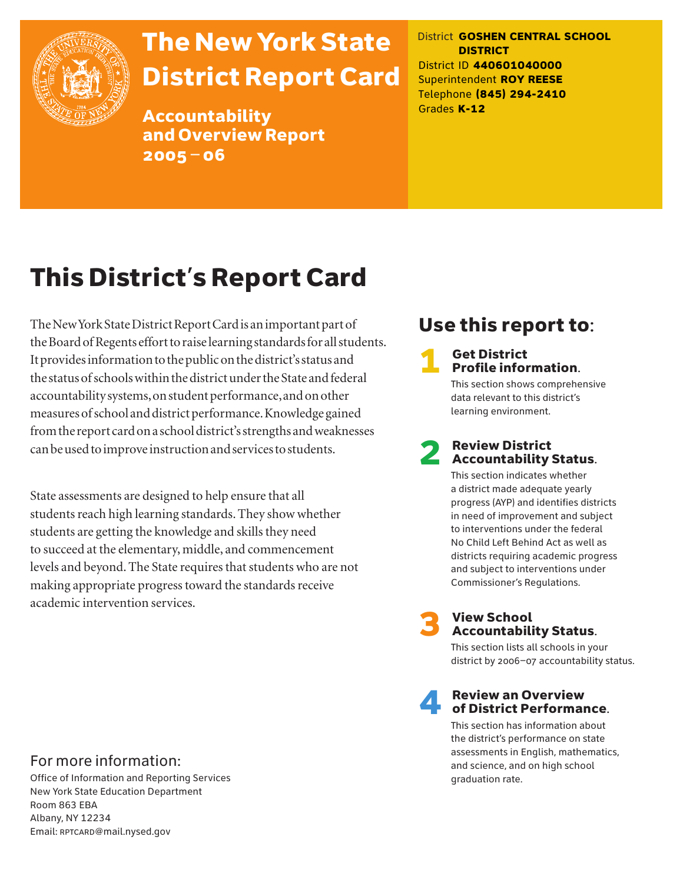

# The New York State District Report Card

Accountability and Overview Report 2005–06

District **GOSHEN CENTRAL SCHOOL DISTRICT** District ID **440601040000** Superintendent **ROY REESE** Telephone **(845) 294-2410** Grades **K-12**

# This District's Report Card

The New York State District Report Card is an important part of the Board of Regents effort to raise learning standards for all students. It provides information to the public on the district's status and the status of schools within the district under the State and federal accountability systems, on student performance, and on other measures of school and district performance. Knowledge gained from the report card on a school district's strengths and weaknesses can be used to improve instruction and services to students.

State assessments are designed to help ensure that all students reach high learning standards. They show whether students are getting the knowledge and skills they need to succeed at the elementary, middle, and commencement levels and beyond. The State requires that students who are not making appropriate progress toward the standards receive academic intervention services.

## Use this report to:

# **1** Get District<br>**Profile information.**

This section shows comprehensive data relevant to this district's learning environment.

# **2** Review District<br>Accountability Status.

This section indicates whether a district made adequate yearly progress (AYP) and identifies districts in need of improvement and subject to interventions under the federal No Child Left Behind Act as well as districts requiring academic progress and subject to interventions under Commissioner's Regulations.



# **3** View School<br>Accountability Status.

This section lists all schools in your district by 2006–07 accountability status.

# **A** Review an Overview<br>
of District Performance.

This section has information about the district's performance on state assessments in English, mathematics, and science, and on high school graduation rate.

### For more information:

Office of Information and Reporting Services New York State Education Department Room 863 EBA Albany, NY 12234 Email: RPTCARD@mail.nysed.gov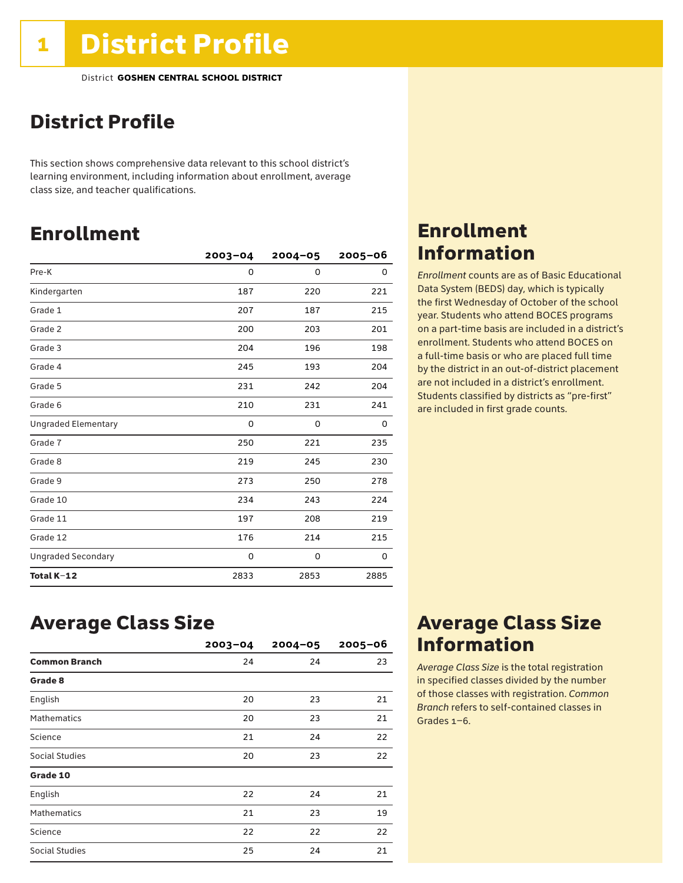## District Profile

This section shows comprehensive data relevant to this school district's learning environment, including information about enrollment, average class size, and teacher qualifications.

## Enrollment

|                            | $2003 - 04$ | $2004 - 05$ | $2005 - 06$ |
|----------------------------|-------------|-------------|-------------|
| Pre-K                      | 0           | 0           | 0           |
| Kindergarten               | 187         | 220         | 221         |
| Grade 1                    | 207         | 187         | 215         |
| Grade 2                    | 200         | 203         | 201         |
| Grade 3                    | 204         | 196         | 198         |
| Grade 4                    | 245         | 193         | 204         |
| Grade 5                    | 231         | 242         | 204         |
| Grade 6                    | 210         | 231         | 241         |
| <b>Ungraded Elementary</b> | 0           | 0           | 0           |
| Grade 7                    | 250         | 221         | 235         |
| Grade 8                    | 219         | 245         | 230         |
| Grade 9                    | 273         | 250         | 278         |
| Grade 10                   | 234         | 243         | 224         |
| Grade 11                   | 197         | 208         | 219         |
| Grade 12                   | 176         | 214         | 215         |
| <b>Ungraded Secondary</b>  | 0           | 0           | 0           |
| Total K-12                 | 2833        | 2853        | 2885        |

### Enrollment Information

*Enrollment* counts are as of Basic Educational Data System (BEDS) day, which is typically the first Wednesday of October of the school year. Students who attend BOCES programs on a part-time basis are included in a district's enrollment. Students who attend BOCES on a full-time basis or who are placed full time by the district in an out-of-district placement are not included in a district's enrollment. Students classified by districts as "pre-first" are included in first grade counts.

### Average Class Size

|                       | $2003 - 04$ | $2004 - 05$ | $2005 - 06$ |
|-----------------------|-------------|-------------|-------------|
| <b>Common Branch</b>  | 24          | 24          | 23          |
| Grade 8               |             |             |             |
| English               | 20          | 23          | 21          |
| <b>Mathematics</b>    | 20          | 23          | 21          |
| Science               | 21          | 24          | 22          |
| <b>Social Studies</b> | 20          | 23          | 22          |
| Grade 10              |             |             |             |
| English               | 22          | 24          | 21          |
| <b>Mathematics</b>    | 21          | 23          | 19          |
| Science               | 22          | 22          | 22          |
| <b>Social Studies</b> | 25          | 24          | 21          |

### Average Class Size Information

*Average Class Size* is the total registration in specified classes divided by the number of those classes with registration. *Common Branch* refers to self-contained classes in Grades 1–6.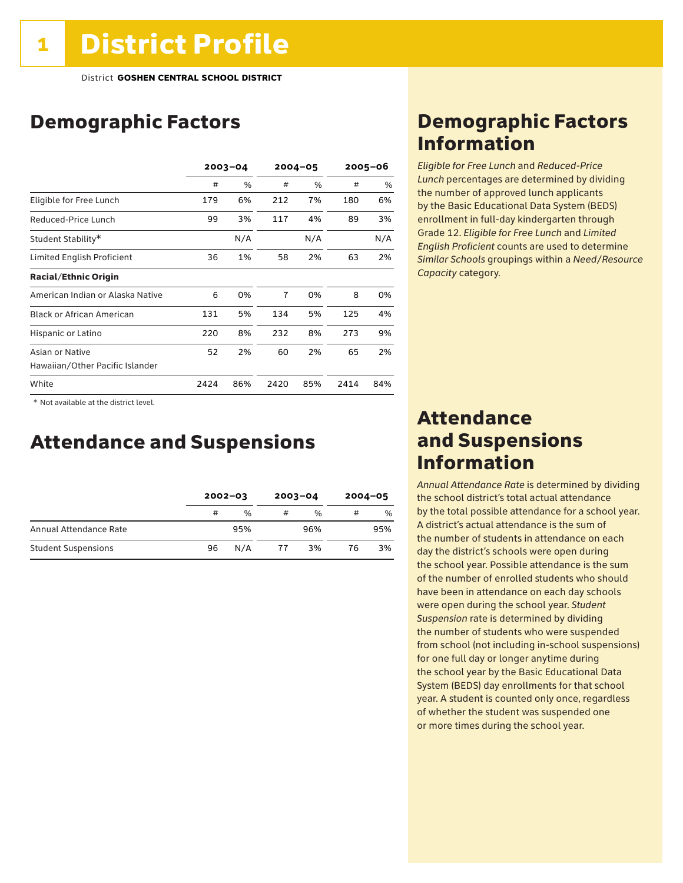## Demographic Factors

|                                  |      | $2003 - 04$   | $2004 - 05$    |     |      | 2005-06 |
|----------------------------------|------|---------------|----------------|-----|------|---------|
|                                  | #    | $\frac{0}{0}$ | #              | %   | #    | %       |
| Eligible for Free Lunch          | 179  | 6%            | 212            | 7%  | 180  | 6%      |
| Reduced-Price Lunch              | 99   | 3%            | 117            | 4%  | 89   | 3%      |
| Student Stability*               |      | N/A           |                | N/A |      | N/A     |
| Limited English Proficient       | 36   | 1%            | 58             | 2%  | 63   | 2%      |
| <b>Racial/Ethnic Origin</b>      |      |               |                |     |      |         |
| American Indian or Alaska Native | 6    | 0%            | $\overline{7}$ | 0%  | 8    | 0%      |
| <b>Black or African American</b> | 131  | 5%            | 134            | 5%  | 125  | 4%      |
| Hispanic or Latino               | 220  | 8%            | 232            | 8%  | 273  | 9%      |
| Asian or Native                  | 52   | 2%            | 60             | 2%  | 65   | 2%      |
| Hawaiian/Other Pacific Islander  |      |               |                |     |      |         |
| White                            | 2424 | 86%           | 2420           | 85% | 2414 | 84%     |

 \* Not available at the district level.

### Attendance and Suspensions

|                            |    | $2002 - 03$   |    | $2003 - 04$   | $2004 - 05$ |     |
|----------------------------|----|---------------|----|---------------|-------------|-----|
|                            | #  | $\frac{0}{6}$ | #  | $\frac{0}{0}$ | #           | %   |
| Annual Attendance Rate     |    | 95%           |    | 96%           |             | 95% |
| <b>Student Suspensions</b> | 96 | N/A           | 77 | 3%            | 76          | 3%  |

### Demographic Factors Information

*Eligible for Free Lunch* and *Reduced*-*Price Lunch* percentages are determined by dividing the number of approved lunch applicants by the Basic Educational Data System (BEDS) enrollment in full-day kindergarten through Grade 12. *Eligible for Free Lunch* and *Limited English Proficient* counts are used to determine *Similar Schools* groupings within a *Need*/*Resource Capacity* category.

### Attendance and Suspensions Information

*Annual Attendance Rate* is determined by dividing the school district's total actual attendance by the total possible attendance for a school year. A district's actual attendance is the sum of the number of students in attendance on each day the district's schools were open during the school year. Possible attendance is the sum of the number of enrolled students who should have been in attendance on each day schools were open during the school year. *Student Suspension* rate is determined by dividing the number of students who were suspended from school (not including in-school suspensions) for one full day or longer anytime during the school year by the Basic Educational Data System (BEDS) day enrollments for that school year. A student is counted only once, regardless of whether the student was suspended one or more times during the school year.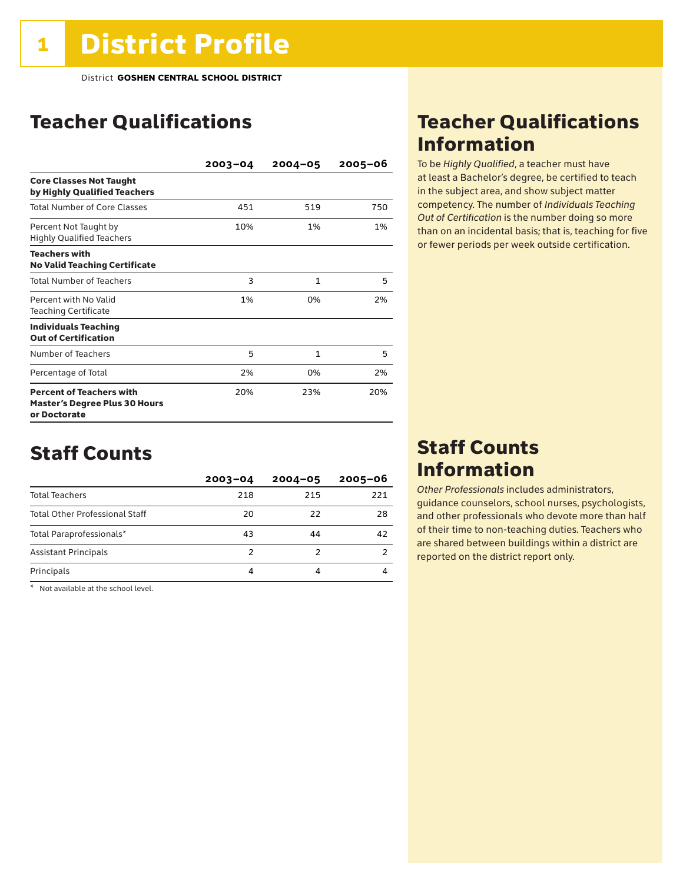## Teacher Qualifications

|                                                                                         | $2003 - 04$ | $2004 - 05$  | $2005 - 06$ |
|-----------------------------------------------------------------------------------------|-------------|--------------|-------------|
| <b>Core Classes Not Taught</b><br>by Highly Qualified Teachers                          |             |              |             |
| <b>Total Number of Core Classes</b>                                                     | 451         | 519          | 750         |
| Percent Not Taught by<br><b>Highly Qualified Teachers</b>                               | 10%         | 1%           | 1%          |
| <b>Teachers with</b><br><b>No Valid Teaching Certificate</b>                            |             |              |             |
| <b>Total Number of Teachers</b>                                                         | 3           | 1            | 5           |
| Percent with No Valid<br><b>Teaching Certificate</b>                                    | 1%          | 0%           | 2%          |
| <b>Individuals Teaching</b><br><b>Out of Certification</b>                              |             |              |             |
| Number of Teachers                                                                      | 5           | $\mathbf{1}$ | 5           |
| Percentage of Total                                                                     | 2%          | 0%           | 2%          |
| <b>Percent of Teachers with</b><br><b>Master's Degree Plus 30 Hours</b><br>or Doctorate | 20%         | 23%          | 20%         |

### Staff Counts

|                                       | $2003 - 04$ | $2004 - 05$ | $2005 - 06$ |
|---------------------------------------|-------------|-------------|-------------|
| <b>Total Teachers</b>                 | 218         | 215         | 221         |
| <b>Total Other Professional Staff</b> | 20          | 22          | 28          |
| Total Paraprofessionals*              | 43          | 44          | 42          |
| <b>Assistant Principals</b>           | 2           |             |             |
| Principals                            | 4           |             |             |

 $*$  Not available at the school level.

### Teacher Qualifications Information

To be *Highly Qualified*, a teacher must have at least a Bachelor's degree, be certified to teach in the subject area, and show subject matter competency. The number of *Individuals Teaching Out of Certification* is the number doing so more than on an incidental basis; that is, teaching for five or fewer periods per week outside certification.

### Staff Counts Information

*Other Professionals* includes administrators, guidance counselors, school nurses, psychologists, and other professionals who devote more than half of their time to non-teaching duties. Teachers who are shared between buildings within a district are reported on the district report only.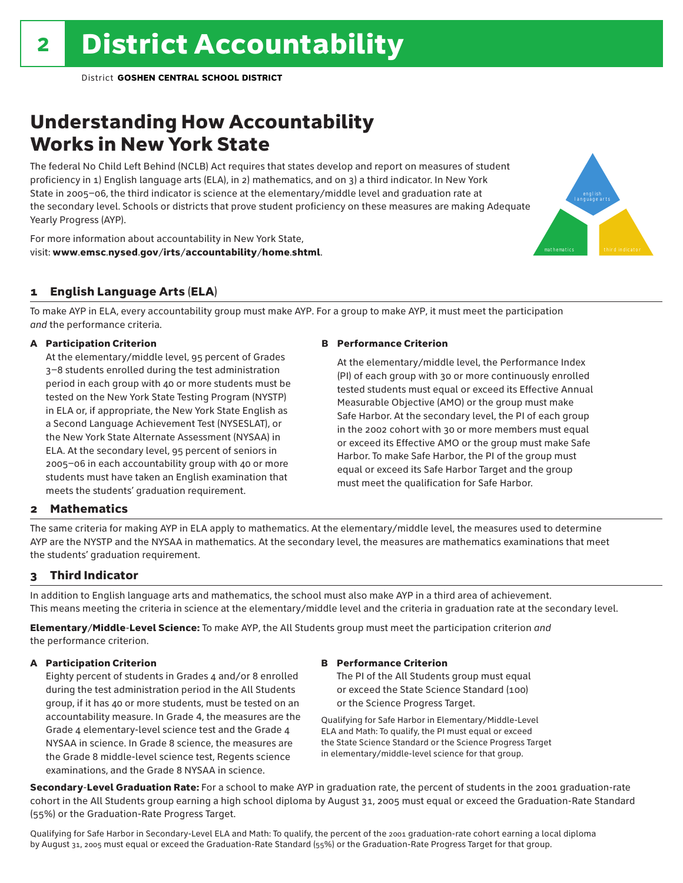## Understanding How Accountability Works in New York State

The federal No Child Left Behind (NCLB) Act requires that states develop and report on measures of student proficiency in 1) English language arts (ELA), in 2) mathematics, and on 3) a third indicator. In New York State in 2005–06, the third indicator is science at the elementary/middle level and graduation rate at the secondary level. Schools or districts that prove student proficiency on these measures are making Adequate Yearly Progress (AYP).

For more information about accountability in New York State, visit: www.emsc.nysed.gov/irts/accountability/home.shtml.

### 1 English Language Arts (ELA)

To make AYP in ELA, every accountability group must make AYP. For a group to make AYP, it must meet the participation *and* the performance criteria.

### A Participation Criterion

At the elementary/middle level, 95 percent of Grades 3–8 students enrolled during the test administration period in each group with 40 or more students must be tested on the New York State Testing Program (NYSTP) in ELA or, if appropriate, the New York State English as a Second Language Achievement Test (NYSESLAT), or the New York State Alternate Assessment (NYSAA) in ELA. At the secondary level, 95 percent of seniors in 2005–06 in each accountability group with 40 or more students must have taken an English examination that meets the students' graduation requirement.

#### B Performance Criterion

At the elementary/middle level, the Performance Index (PI) of each group with 30 or more continuously enrolled tested students must equal or exceed its Effective Annual Measurable Objective (AMO) or the group must make Safe Harbor. At the secondary level, the PI of each group in the 2002 cohort with 30 or more members must equal or exceed its Effective AMO or the group must make Safe Harbor. To make Safe Harbor, the PI of the group must equal or exceed its Safe Harbor Target and the group must meet the qualification for Safe Harbor.

english language arts

mathematics **third indicator** 

### 2 Mathematics

The same criteria for making AYP in ELA apply to mathematics. At the elementary/middle level, the measures used to determine AYP are the NYSTP and the NYSAA in mathematics. At the secondary level, the measures are mathematics examinations that meet the students' graduation requirement.

### 3 Third Indicator

In addition to English language arts and mathematics, the school must also make AYP in a third area of achievement. This means meeting the criteria in science at the elementary/middle level and the criteria in graduation rate at the secondary level.

Elementary/Middle-Level Science: To make AYP, the All Students group must meet the participation criterion *and* the performance criterion.

#### A Participation Criterion

Eighty percent of students in Grades 4 and/or 8 enrolled during the test administration period in the All Students group, if it has 40 or more students, must be tested on an accountability measure. In Grade 4, the measures are the Grade 4 elementary-level science test and the Grade 4 NYSAA in science. In Grade 8 science, the measures are the Grade 8 middle-level science test, Regents science examinations, and the Grade 8 NYSAA in science.

#### B Performance Criterion

The PI of the All Students group must equal or exceed the State Science Standard (100) or the Science Progress Target.

Qualifying for Safe Harbor in Elementary/Middle-Level ELA and Math: To qualify, the PI must equal or exceed the State Science Standard or the Science Progress Target in elementary/middle-level science for that group.

Secondary-Level Graduation Rate: For a school to make AYP in graduation rate, the percent of students in the 2001 graduation-rate cohort in the All Students group earning a high school diploma by August 31, 2005 must equal or exceed the Graduation-Rate Standard (55%) or the Graduation-Rate Progress Target.

Qualifying for Safe Harbor in Secondary-Level ELA and Math: To qualify, the percent of the 2001 graduation-rate cohort earning a local diploma by August 31, 2005 must equal or exceed the Graduation-Rate Standard (55%) or the Graduation-Rate Progress Target for that group.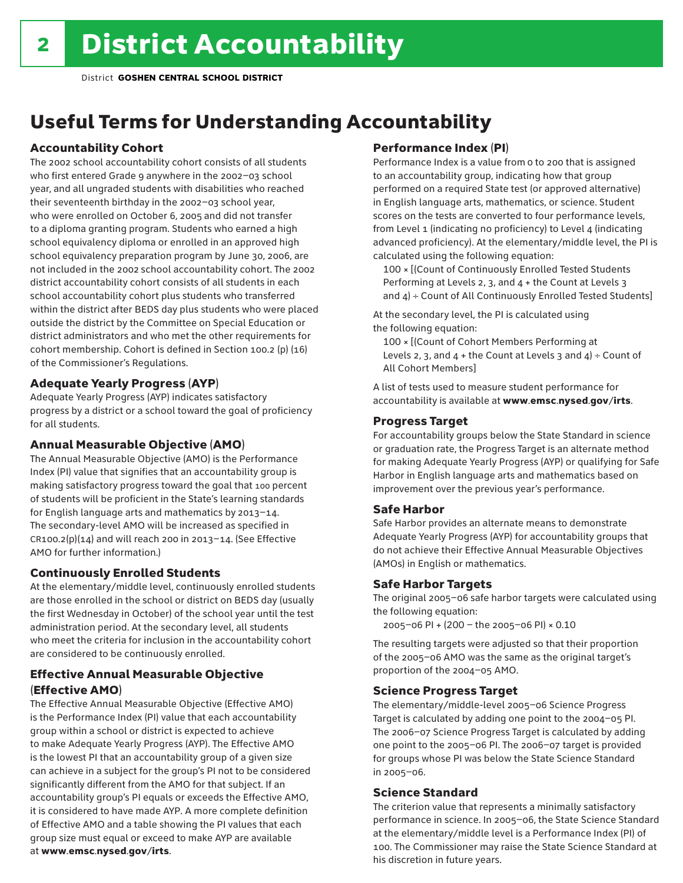## Useful Terms for Understanding Accountability

### Accountability Cohort

The 2002 school accountability cohort consists of all students who first entered Grade 9 anywhere in the 2002–03 school year, and all ungraded students with disabilities who reached their seventeenth birthday in the 2002–03 school year, who were enrolled on October 6, 2005 and did not transfer to a diploma granting program. Students who earned a high school equivalency diploma or enrolled in an approved high school equivalency preparation program by June 30, 2006, are not included in the 2002 school accountability cohort. The 2002 district accountability cohort consists of all students in each school accountability cohort plus students who transferred within the district after BEDS day plus students who were placed outside the district by the Committee on Special Education or district administrators and who met the other requirements for cohort membership. Cohort is defined in Section 100.2 (p) (16) of the Commissioner's Regulations.

### Adequate Yearly Progress (AYP)

Adequate Yearly Progress (AYP) indicates satisfactory progress by a district or a school toward the goal of proficiency for all students.

### Annual Measurable Objective (AMO)

The Annual Measurable Objective (AMO) is the Performance Index (PI) value that signifies that an accountability group is making satisfactory progress toward the goal that 100 percent of students will be proficient in the State's learning standards for English language arts and mathematics by 2013–14. The secondary-level AMO will be increased as specified in  $CR100.2(p)(14)$  and will reach 200 in 2013-14. (See Effective AMO for further information.)

### Continuously Enrolled Students

At the elementary/middle level, continuously enrolled students are those enrolled in the school or district on BEDS day (usually the first Wednesday in October) of the school year until the test administration period. At the secondary level, all students who meet the criteria for inclusion in the accountability cohort are considered to be continuously enrolled.

### Effective Annual Measurable Objective (Effective AMO)

The Effective Annual Measurable Objective (Effective AMO) is the Performance Index (PI) value that each accountability group within a school or district is expected to achieve to make Adequate Yearly Progress (AYP). The Effective AMO is the lowest PI that an accountability group of a given size can achieve in a subject for the group's PI not to be considered significantly different from the AMO for that subject. If an accountability group's PI equals or exceeds the Effective AMO, it is considered to have made AYP. A more complete definition of Effective AMO and a table showing the PI values that each group size must equal or exceed to make AYP are available at www.emsc.nysed.gov/irts.

### Performance Index (PI)

Performance Index is a value from 0 to 200 that is assigned to an accountability group, indicating how that group performed on a required State test (or approved alternative) in English language arts, mathematics, or science. Student scores on the tests are converted to four performance levels, from Level 1 (indicating no proficiency) to Level 4 (indicating advanced proficiency). At the elementary/middle level, the PI is calculated using the following equation:

100 × [(Count of Continuously Enrolled Tested Students Performing at Levels 2, 3, and 4 + the Count at Levels 3 and  $4$ ) ÷ Count of All Continuously Enrolled Tested Students]

At the secondary level, the PI is calculated using the following equation:

100 × [(Count of Cohort Members Performing at Levels 2, 3, and  $4 +$  the Count at Levels 3 and  $4$ ) ÷ Count of All Cohort Members]

A list of tests used to measure student performance for accountability is available at www.emsc.nysed.gov/irts.

### Progress Target

For accountability groups below the State Standard in science or graduation rate, the Progress Target is an alternate method for making Adequate Yearly Progress (AYP) or qualifying for Safe Harbor in English language arts and mathematics based on improvement over the previous year's performance.

### Safe Harbor

Safe Harbor provides an alternate means to demonstrate Adequate Yearly Progress (AYP) for accountability groups that do not achieve their Effective Annual Measurable Objectives (AMOs) in English or mathematics.

### Safe Harbor Targets

The original 2005–06 safe harbor targets were calculated using the following equation:

2005–06 PI + (200 – the 2005–06 PI) × 0.10

The resulting targets were adjusted so that their proportion of the 2005–06 AMO was the same as the original target's proportion of the 2004–05 AMO.

### Science Progress Target

The elementary/middle-level 2005–06 Science Progress Target is calculated by adding one point to the 2004–05 PI. The 2006–07 Science Progress Target is calculated by adding one point to the 2005–06 PI. The 2006–07 target is provided for groups whose PI was below the State Science Standard in 2005–06.

### Science Standard

The criterion value that represents a minimally satisfactory performance in science. In 2005–06, the State Science Standard at the elementary/middle level is a Performance Index (PI) of 100. The Commissioner may raise the State Science Standard at his discretion in future years.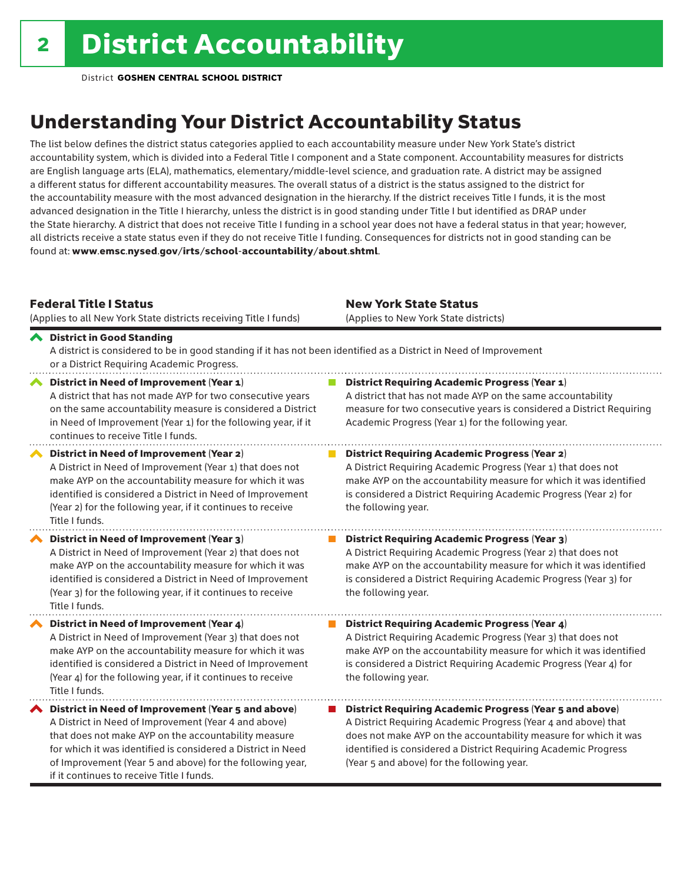## Understanding Your District Accountability Status

The list below defines the district status categories applied to each accountability measure under New York State's district accountability system, which is divided into a Federal Title I component and a State component. Accountability measures for districts are English language arts (ELA), mathematics, elementary/middle-level science, and graduation rate. A district may be assigned a different status for different accountability measures. The overall status of a district is the status assigned to the district for the accountability measure with the most advanced designation in the hierarchy. If the district receives Title I funds, it is the most advanced designation in the Title I hierarchy, unless the district is in good standing under Title I but identified as DRAP under the State hierarchy. A district that does not receive Title I funding in a school year does not have a federal status in that year; however, all districts receive a state status even if they do not receive Title I funding. Consequences for districts not in good standing can be found at: www.emsc.nysed.gov/irts/school-accountability/about.shtml.

### Federal Title I Status

New York State Status

| (Applies to all New York State districts receiving Title I funds)                                                                                                                                                                                                                                                                            | (Applies to New York State districts)                                                                                                                                                                                                                                                                                 |
|----------------------------------------------------------------------------------------------------------------------------------------------------------------------------------------------------------------------------------------------------------------------------------------------------------------------------------------------|-----------------------------------------------------------------------------------------------------------------------------------------------------------------------------------------------------------------------------------------------------------------------------------------------------------------------|
| ← District in Good Standing<br>A district is considered to be in good standing if it has not been identified as a District in Need of Improvement<br>or a District Requiring Academic Progress.                                                                                                                                              |                                                                                                                                                                                                                                                                                                                       |
| District in Need of Improvement (Year 1)<br>A district that has not made AYP for two consecutive years<br>on the same accountability measure is considered a District<br>in Need of Improvement (Year 1) for the following year, if it<br>continues to receive Title I funds.                                                                | <b>District Requiring Academic Progress (Year 1)</b><br>A district that has not made AYP on the same accountability<br>measure for two consecutive years is considered a District Requiring<br>Academic Progress (Year 1) for the following year.                                                                     |
| District in Need of Improvement (Year 2)<br>A District in Need of Improvement (Year 1) that does not<br>make AYP on the accountability measure for which it was<br>identified is considered a District in Need of Improvement<br>(Year 2) for the following year, if it continues to receive<br>Title I funds.                               | <b>District Requiring Academic Progress (Year 2)</b><br>A District Requiring Academic Progress (Year 1) that does not<br>make AYP on the accountability measure for which it was identified<br>is considered a District Requiring Academic Progress (Year 2) for<br>the following year.                               |
| District in Need of Improvement (Year 3)<br>A District in Need of Improvement (Year 2) that does not<br>make AYP on the accountability measure for which it was<br>identified is considered a District in Need of Improvement<br>(Year 3) for the following year, if it continues to receive<br>Title I funds.                               | <b>District Requiring Academic Progress (Year 3)</b><br>A District Requiring Academic Progress (Year 2) that does not<br>make AYP on the accountability measure for which it was identified<br>is considered a District Requiring Academic Progress (Year 3) for<br>the following year.                               |
| District in Need of Improvement (Year 4)<br>A District in Need of Improvement (Year 3) that does not<br>make AYP on the accountability measure for which it was<br>identified is considered a District in Need of Improvement<br>(Year 4) for the following year, if it continues to receive<br>Title I funds.                               | <b>District Requiring Academic Progress (Year 4)</b><br>A District Requiring Academic Progress (Year 3) that does not<br>make AYP on the accountability measure for which it was identified<br>is considered a District Requiring Academic Progress (Year 4) for<br>the following year.                               |
| District in Need of Improvement (Year 5 and above)<br>A District in Need of Improvement (Year 4 and above)<br>that does not make AYP on the accountability measure<br>for which it was identified is considered a District in Need<br>of Improvement (Year 5 and above) for the following year,<br>if it continues to receive Title I funds. | <b>District Requiring Academic Progress (Year 5 and above)</b><br>A District Requiring Academic Progress (Year 4 and above) that<br>does not make AYP on the accountability measure for which it was<br>identified is considered a District Requiring Academic Progress<br>(Year 5 and above) for the following year. |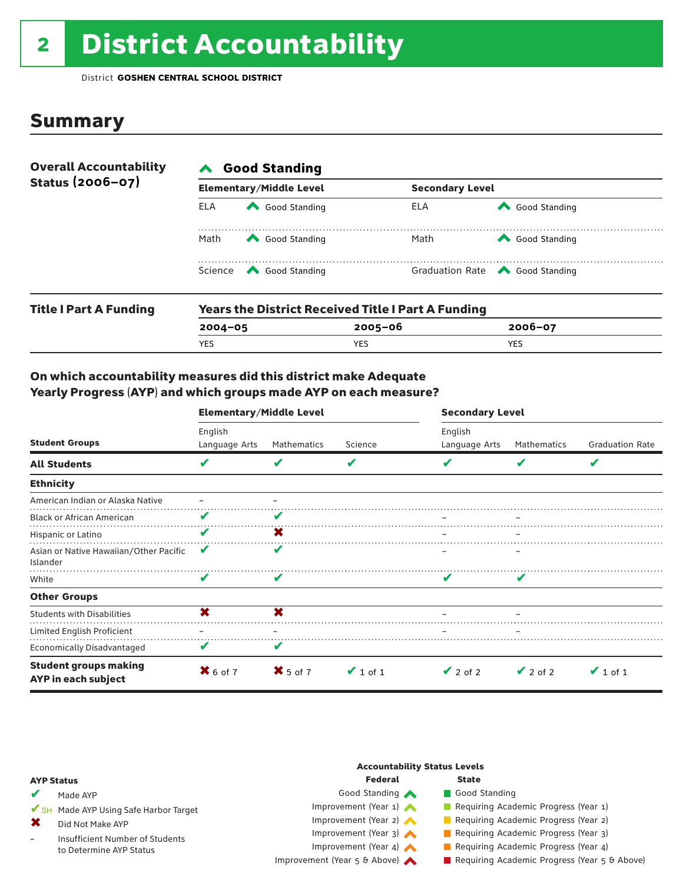# 2 District Accountability

District **GOSHEN CENTRAL SCHOOL DISTRICT**

### **Summary**

| <b>Overall Accountability</b><br>Status (2006-07) | <b>Good Standing</b> |                                                                                                                                                                                                                                                                                                                                                       |                        |                                       |  |  |  |  |
|---------------------------------------------------|----------------------|-------------------------------------------------------------------------------------------------------------------------------------------------------------------------------------------------------------------------------------------------------------------------------------------------------------------------------------------------------|------------------------|---------------------------------------|--|--|--|--|
|                                                   |                      | <b>Elementary/Middle Level</b>                                                                                                                                                                                                                                                                                                                        | <b>Secondary Level</b> |                                       |  |  |  |  |
|                                                   | ELA                  | Good Standing                                                                                                                                                                                                                                                                                                                                         | ELA                    | Good Standing                         |  |  |  |  |
|                                                   | Math                 | Good Standing                                                                                                                                                                                                                                                                                                                                         | Math                   | Good Standing                         |  |  |  |  |
|                                                   |                      | Science <a> Science</a> Science Science Science <a> Science <a> Science <a> Science <a> Science <a> Science <a> Science <a> Science <a> Science <a> Science <a> Science <a> Science <a<br></a<br> Science <a> Science <a<br <="" td=""><td></td><td>Graduation Rate <a> Good Standing</a></td></a<br></a></a></a></a></a></a></a></a></a></a></a></a> |                        | Graduation Rate <a> Good Standing</a> |  |  |  |  |
| <b>Title I Part A Funding</b>                     |                      | <b>Years the District Received Title I Part A Funding</b>                                                                                                                                                                                                                                                                                             |                        |                                       |  |  |  |  |

| iitte i Part A Funuing |         | rears the District Received Title Part A Funding |             |  |  |  |  |  |
|------------------------|---------|--------------------------------------------------|-------------|--|--|--|--|--|
|                        | 2004-05 | 2005-06                                          | $2006 - 07$ |  |  |  |  |  |
|                        | YES     |                                                  | YES         |  |  |  |  |  |
|                        |         |                                                  |             |  |  |  |  |  |

### On which accountability measures did this district make Adequate Yearly Progress (AYP) and which groups made AYP on each measure?

|                                                     | <b>Elementary/Middle Level</b> |             |               | <b>Secondary Level</b>   |               |                        |  |
|-----------------------------------------------------|--------------------------------|-------------|---------------|--------------------------|---------------|------------------------|--|
| <b>Student Groups</b>                               | English<br>Language Arts       | Mathematics | Science       | English<br>Language Arts | Mathematics   | <b>Graduation Rate</b> |  |
| <b>All Students</b>                                 | V                              | V           | V             |                          | v             | V                      |  |
| <b>Ethnicity</b>                                    |                                |             |               |                          |               |                        |  |
| American Indian or Alaska Native                    |                                |             |               |                          |               |                        |  |
| <b>Black or African American</b>                    | V                              |             |               |                          |               |                        |  |
| Hispanic or Latino                                  | V                              | X.          |               |                          |               |                        |  |
| Asian or Native Hawaiian/Other Pacific<br>Islander  | V                              | ✔           |               |                          |               |                        |  |
| White                                               | V                              | v           |               |                          |               |                        |  |
| <b>Other Groups</b>                                 |                                |             |               |                          |               |                        |  |
| <b>Students with Disabilities</b>                   | ×                              | ×           |               |                          |               |                        |  |
| Limited English Proficient                          |                                |             |               |                          |               |                        |  |
| <b>Economically Disadvantaged</b>                   | V                              | V           |               |                          |               |                        |  |
| <b>Student groups making</b><br>AYP in each subject | $X$ 6 of 7                     | $X$ 5 of 7  | $\vee$ 1 of 1 | $\vee$ 2 of 2            | $\vee$ 2 of 2 | $\vee$ 1 of 1          |  |

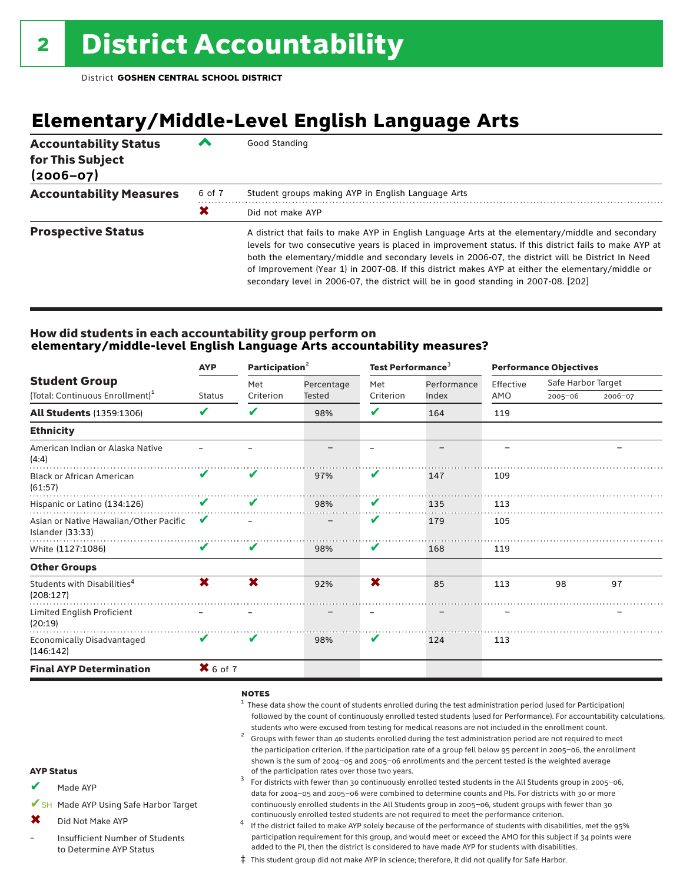## **Elementary/Middle-Level English Language Arts**

| <b>Accountability Status</b><br>for This Subject<br>$(2006 - 07)$ |        | Good Standing                                                                                                                                                                                                                                                                                                                                                                                                                                                                                                 |
|-------------------------------------------------------------------|--------|---------------------------------------------------------------------------------------------------------------------------------------------------------------------------------------------------------------------------------------------------------------------------------------------------------------------------------------------------------------------------------------------------------------------------------------------------------------------------------------------------------------|
| <b>Accountability Measures</b>                                    | 6 of 7 | Student groups making AYP in English Language Arts                                                                                                                                                                                                                                                                                                                                                                                                                                                            |
|                                                                   | X      | Did not make AYP                                                                                                                                                                                                                                                                                                                                                                                                                                                                                              |
| <b>Prospective Status</b>                                         |        | A district that fails to make AYP in English Language Arts at the elementary/middle and secondary<br>levels for two consecutive years is placed in improvement status. If this district fails to make AYP at<br>both the elementary/middle and secondary levels in 2006-07, the district will be District In Need<br>of Improvement (Year 1) in 2007-08. If this district makes AYP at either the elementary/middle or<br>secondary level in 2006-07, the district will be in good standing in 2007-08. [202] |

### How did students in each accountability group perform on **elementary/middle-level English Language Arts accountability measures?**

|                                                            | <b>AYP</b>    | Participation <sup>2</sup> |               | Test Performance <sup>3</sup> |             | <b>Performance Objectives</b> |                    |         |
|------------------------------------------------------------|---------------|----------------------------|---------------|-------------------------------|-------------|-------------------------------|--------------------|---------|
| <b>Student Group</b>                                       |               | Met                        | Percentage    | Met                           | Performance | Effective                     | Safe Harbor Target |         |
| (Total: Continuous Enrollment) <sup>1</sup>                | <b>Status</b> | Criterion                  | <b>Tested</b> | Criterion                     | Index       | AMO                           | $2005 - 06$        | 2006-07 |
| <b>All Students (1359:1306)</b>                            | V             | V                          | 98%           | V                             | 164         | 119                           |                    |         |
| <b>Ethnicity</b>                                           |               |                            |               |                               |             |                               |                    |         |
| American Indian or Alaska Native<br>(4:4)                  |               |                            |               |                               |             |                               |                    |         |
| <b>Black or African American</b><br>(61:57)                | V             | V                          | 97%           | V                             | 147         | 109                           |                    |         |
| Hispanic or Latino (134:126)                               | V             | V                          | 98%           | V                             | 135         | 113                           |                    |         |
| Asian or Native Hawaiian/Other Pacific<br>Islander (33:33) | V             |                            |               | V                             | 179         | 105                           |                    |         |
| White (1127:1086)                                          | V             | V                          | 98%           | V                             | 168         | 119                           |                    |         |
| <b>Other Groups</b>                                        |               |                            |               |                               |             |                               |                    |         |
| Students with Disabilities <sup>4</sup><br>(208:127)       | X             | X                          | 92%           | X                             | 85          | 113                           | 98                 | 97      |
| Limited English Proficient<br>(20:19)                      |               |                            |               |                               |             |                               |                    |         |
| <b>Economically Disadvantaged</b><br>(146:142)             | V             | V                          | 98%           | V                             | 124         | 113                           |                    |         |
| <b>Final AYP Determination</b>                             | $X$ 6 of 7    |                            |               |                               |             |                               |                    |         |
|                                                            |               |                            |               |                               |             |                               |                    |         |

#### notes

- $1$  These data show the count of students enrolled during the test administration period (used for Participation) followed by the count of continuously enrolled tested students (used for Performance). For accountability calculations, students who were excused from testing for medical reasons are not included in the enrollment count.<br><sup>2</sup> Groups with fewer than 40 students enrolled during the test administration period are not required to meet
- the participation criterion. If the participation rate of a group fell below 95 percent in 2005–06, the enrollment shown is the sum of 2004–05 and 2005–06 enrollments and the percent tested is the weighted average<br>of the participation rates over those two years.
- of the participation rates over those two years. <sup>3</sup> For districts with fewer than 30 continuously enrolled tested students in the All Students group in 2005–06, data for 2004–05 and 2005–06 were combined to determine counts and PIs. For districts with 30 or more continuously enrolled students in the All Students group in 2005–06, student groups with fewer than 30
- continuously enrolled tested students are not required to meet the performance criterion.<br>If the district failed to make AYP solely because of the performance of students with disabilities, met the 95% participation requirement for this group, and would meet or exceed the AMO for this subject if 34 points were added to the PI, then the district is considered to have made AYP for students with disabilities.
- ‡ This student group did not make AYP in science; therefore, it did not qualify for Safe Harbor.

#### AYP Status

- Made AYP ✔
- ✔SH Made AYP Using Safe Harbor Target
- Did Not Make AYP ✖
- Insufficient Number of Students to Determine AYP Status –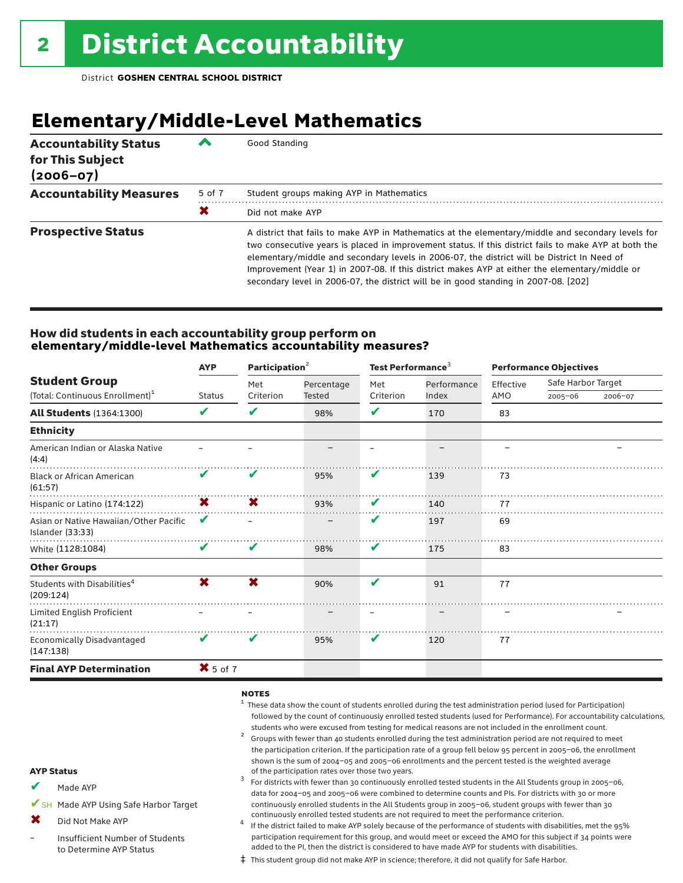## **Elementary/Middle-Level Mathematics**

| <b>Accountability Status</b><br>for This Subject<br>$(2006 - 07)$ | ▰      | Good Standing                                                                                                                                                                                                                                                                                                                                                                                                                                                                                       |
|-------------------------------------------------------------------|--------|-----------------------------------------------------------------------------------------------------------------------------------------------------------------------------------------------------------------------------------------------------------------------------------------------------------------------------------------------------------------------------------------------------------------------------------------------------------------------------------------------------|
| <b>Accountability Measures</b>                                    | 5 of 7 | Student groups making AYP in Mathematics                                                                                                                                                                                                                                                                                                                                                                                                                                                            |
|                                                                   | X      | Did not make AYP                                                                                                                                                                                                                                                                                                                                                                                                                                                                                    |
| <b>Prospective Status</b>                                         |        | A district that fails to make AYP in Mathematics at the elementary/middle and secondary levels for<br>two consecutive years is placed in improvement status. If this district fails to make AYP at both the<br>elementary/middle and secondary levels in 2006-07, the district will be District In Need of<br>Improvement (Year 1) in 2007-08. If this district makes AYP at either the elementary/middle or<br>secondary level in 2006-07, the district will be in good standing in 2007-08. [202] |

### How did students in each accountability group perform on **elementary/middle-level Mathematics accountability measures?**

| <b>Student Group</b>                                       | <b>AYP</b>                 | Participation <sup>2</sup> |            | Test Performance <sup>3</sup> |             | <b>Performance Objectives</b> |                    |         |
|------------------------------------------------------------|----------------------------|----------------------------|------------|-------------------------------|-------------|-------------------------------|--------------------|---------|
|                                                            |                            | Met                        | Percentage | Met                           | Performance | Effective                     | Safe Harbor Target |         |
| (Total: Continuous Enrollment) <sup>1</sup>                | <b>Status</b>              | Criterion                  | Tested     | Criterion                     | Index       | AMO                           | $2005 - 06$        | 2006-07 |
| <b>All Students (1364:1300)</b>                            | V                          | V                          | 98%        | V                             | 170         | 83                            |                    |         |
| <b>Ethnicity</b>                                           |                            |                            |            |                               |             |                               |                    |         |
| American Indian or Alaska Native<br>(4:4)                  |                            |                            |            |                               |             |                               |                    |         |
| <b>Black or African American</b><br>(61:57)                | $\boldsymbol{\mathcal{U}}$ | V                          | 95%        | V                             | 139         | 73                            |                    |         |
| Hispanic or Latino (174:122)                               | X.                         | <b>X</b>                   | 93%        | V                             | 140         | 77                            |                    |         |
| Asian or Native Hawaiian/Other Pacific<br>Islander (33:33) | V                          |                            |            | V                             | 197         | 69                            |                    |         |
| White (1128:1084)                                          | V                          | V                          | 98%        | V                             | 175         | 83                            |                    |         |
| <b>Other Groups</b>                                        |                            |                            |            |                               |             |                               |                    |         |
| Students with Disabilities <sup>4</sup><br>(209:124)       | X                          | X                          | 90%        | $\mathbf{v}$                  | 91          | 77                            |                    |         |
| Limited English Proficient<br>(21:17)                      |                            |                            |            |                               |             |                               |                    |         |
| <b>Economically Disadvantaged</b><br>(147:138)             | V                          | V                          | 95%        | V                             | 120         | 77                            |                    |         |
| <b>Final AYP Determination</b>                             | $X$ 5 of 7                 |                            |            |                               |             |                               |                    |         |
|                                                            |                            |                            |            |                               |             |                               |                    |         |

#### notes

- $1$  These data show the count of students enrolled during the test administration period (used for Participation) followed by the count of continuously enrolled tested students (used for Performance). For accountability calculations,
- students who were excused from testing for medical reasons are not included in the enrollment count.<br><sup>2</sup> Groups with fewer than 40 students enrolled during the test administration period are not required to meet the participation criterion. If the participation rate of a group fell below 95 percent in 2005–06, the enrollment shown is the sum of 2004–05 and 2005–06 enrollments and the percent tested is the weighted average<br>of the participation rates over those two years.
- of the participation rates over those two years. <sup>3</sup> For districts with fewer than 30 continuously enrolled tested students in the All Students group in 2005–06, data for 2004–05 and 2005–06 were combined to determine counts and PIs. For districts with 30 or more continuously enrolled students in the All Students group in 2005–06, student groups with fewer than 30
- continuously enrolled tested students are not required to meet the performance criterion. <sup>4</sup> If the district failed to make AYP solely because of the performance of students with disabilities, met the 95% participation requirement for this group, and would meet or exceed the AMO for this subject if 34 points were added to the PI, then the district is considered to have made AYP for students with disabilities.
- ‡ This student group did not make AYP in science; therefore, it did not qualify for Safe Harbor.

#### AYP Status

- Made AYP ✔
- ✔SH Made AYP Using Safe Harbor Target
- Did Not Make AYP  $\mathbf x$
- Insufficient Number of Students to Determine AYP Status –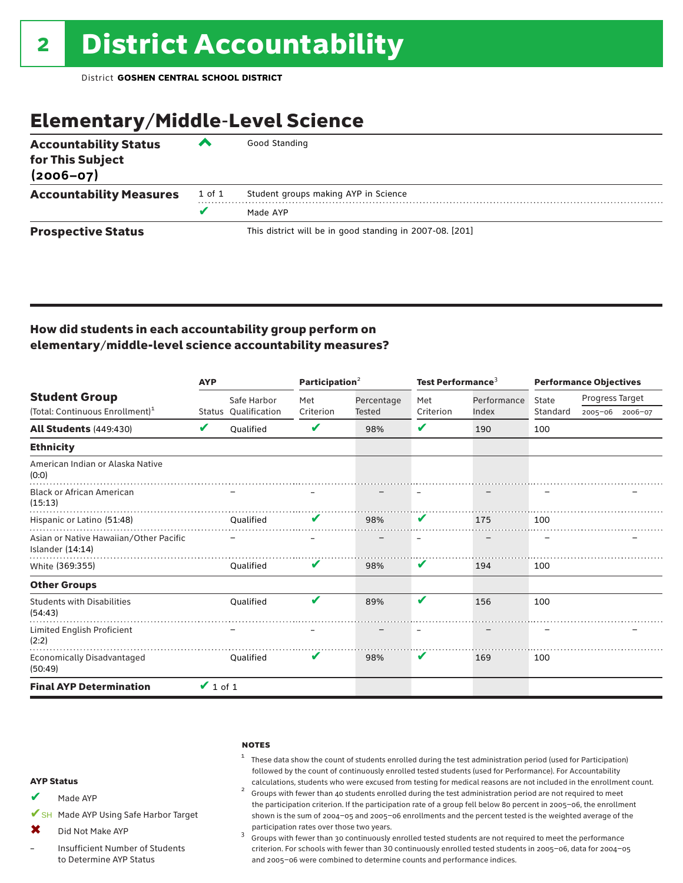## Elementary/Middle-Level Science

| <b>Accountability Status</b><br>for This Subject<br>$(2006 - 07)$ | ◚      | Good Standing                                            |
|-------------------------------------------------------------------|--------|----------------------------------------------------------|
| <b>Accountability Measures</b>                                    | 1 of 1 | Student groups making AYP in Science                     |
|                                                                   | v      | Made AYP                                                 |
| <b>Prospective Status</b>                                         |        | This district will be in good standing in 2007-08. [201] |

### How did students in each accountability group perform on elementary/middle-level science accountability measures?

|                                                            | <b>AYP</b>    |                      | Participation <sup>2</sup> |            | Test Performance <sup>3</sup> |             | <b>Performance Objectives</b> |                 |                 |
|------------------------------------------------------------|---------------|----------------------|----------------------------|------------|-------------------------------|-------------|-------------------------------|-----------------|-----------------|
| <b>Student Group</b>                                       |               | Safe Harbor          | Met                        | Percentage | Met                           | Performance | State                         | Progress Target |                 |
| (Total: Continuous Enrollment) <sup>1</sup>                |               | Status Qualification | Criterion                  | Tested     | Criterion                     | Index       | Standard                      |                 | 2005-06 2006-07 |
| <b>All Students (449:430)</b>                              | V             | Oualified            | V                          | 98%        | V                             | 190         | 100                           |                 |                 |
| <b>Ethnicity</b>                                           |               |                      |                            |            |                               |             |                               |                 |                 |
| American Indian or Alaska Native<br>(0:0)                  |               |                      |                            |            |                               |             |                               |                 |                 |
| <b>Black or African American</b><br>(15:13)                |               |                      |                            |            |                               |             |                               |                 |                 |
| Hispanic or Latino (51:48)                                 |               | Oualified            |                            | 98%        | V                             | 175         | 100                           |                 |                 |
| Asian or Native Hawaiian/Other Pacific<br>Islander (14:14) |               |                      |                            |            |                               |             |                               |                 |                 |
| White (369:355)                                            |               | Oualified            | V                          | 98%        | V                             | 194         | 100                           |                 |                 |
| <b>Other Groups</b>                                        |               |                      |                            |            |                               |             |                               |                 |                 |
| <b>Students with Disabilities</b><br>(54:43)               |               | Qualified            | V                          | 89%        | V                             | 156         | 100                           |                 |                 |
| Limited English Proficient<br>(2:2)                        |               |                      |                            |            |                               |             |                               |                 |                 |
| Economically Disadvantaged<br>(50:49)                      |               | Oualified            | V                          | 98%        | V                             | 169         | 100                           |                 |                 |
| <b>Final AYP Determination</b>                             | $\vee$ 1 of 1 |                      |                            |            |                               |             |                               |                 |                 |

#### **NOTES**

 $1$  These data show the count of students enrolled during the test administration period (used for Participation) followed by the count of continuously enrolled tested students (used for Performance). For Accountability

calculations, students who were excused from testing for medical reasons are not included in the enrollment count.<br><sup>2</sup> Groups with fewer than 40 students enrolled during the test administration period are not required to the participation criterion. If the participation rate of a group fell below 80 percent in 2005–06, the enrollment shown is the sum of 2004–05 and 2005–06 enrollments and the percent tested is the weighted average of the

participation rates over those two years.<br> $3$  Groups with fewer than 30 continuously enrolled tested students are not required to meet the performance criterion. For schools with fewer than 30 continuously enrolled tested students in 2005–06, data for 2004–05 and 2005–06 were combined to determine counts and performance indices.

#### AYP Status

- Made AYP ✔
- ✔SH Made AYP Using Safe Harbor Target
- Did Not Make AYP  $\mathbf x$
- Insufficient Number of Students to Determine AYP Status –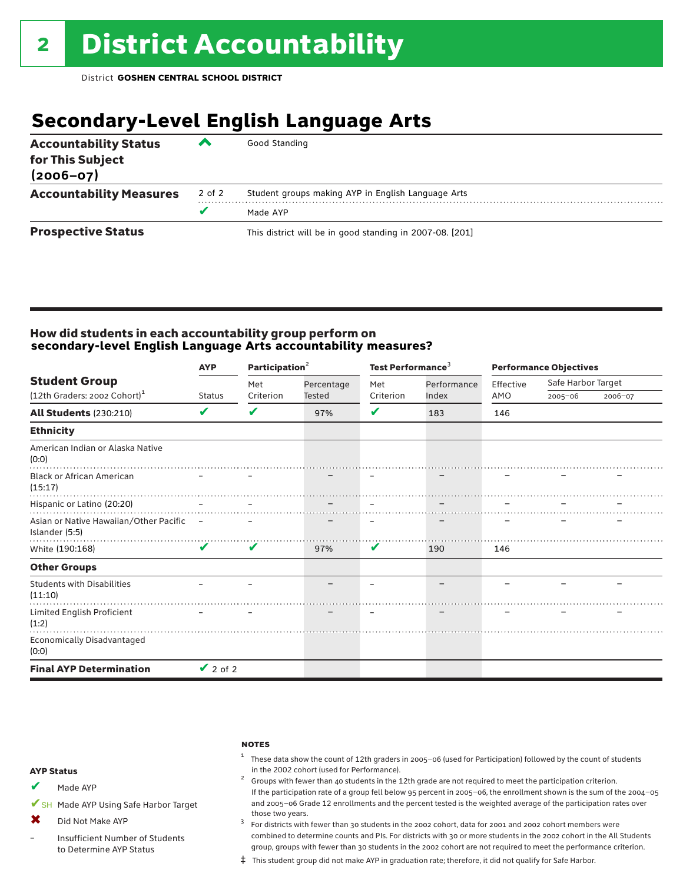## **Secondary-Level English Language Arts**

| <b>Accountability Status</b><br>for This Subject<br>$(2006 - 07)$ | ▰      | Good Standing                                            |
|-------------------------------------------------------------------|--------|----------------------------------------------------------|
| <b>Accountability Measures</b>                                    | 2 of 2 | Student groups making AYP in English Language Arts       |
|                                                                   | v      | Made AYP                                                 |
| <b>Prospective Status</b>                                         |        | This district will be in good standing in 2007-08. [201] |

### How did students in each accountability group perform on **secondary-level English Language Arts accountability measures?**

|                                                            | Participation <sup>2</sup><br><b>AYP</b> |           |            | Test Performance <sup>3</sup> |             |           | <b>Performance Objectives</b> |         |  |  |
|------------------------------------------------------------|------------------------------------------|-----------|------------|-------------------------------|-------------|-----------|-------------------------------|---------|--|--|
| <b>Student Group</b>                                       |                                          | Met       | Percentage | Met                           | Performance | Effective | Safe Harbor Target            |         |  |  |
| (12th Graders: 2002 Cohort) <sup>1</sup>                   | <b>Status</b>                            | Criterion | Tested     | Criterion                     | Index       | AMO       | $2005 - 06$                   | 2006-07 |  |  |
| <b>All Students (230:210)</b>                              | V                                        | V         | 97%        | V                             | 183         | 146       |                               |         |  |  |
| <b>Ethnicity</b>                                           |                                          |           |            |                               |             |           |                               |         |  |  |
| American Indian or Alaska Native<br>(0:0)                  |                                          |           |            |                               |             |           |                               |         |  |  |
| <b>Black or African American</b><br>(15:17)                |                                          |           |            |                               |             |           |                               |         |  |  |
| Hispanic or Latino (20:20)                                 |                                          |           |            |                               |             |           |                               |         |  |  |
| Asian or Native Hawaiian/Other Pacific -<br>Islander (5:5) |                                          |           |            |                               |             |           |                               |         |  |  |
| White (190:168)                                            | $\mathbf{v}$                             | V         | 97%        | V                             | 190         | 146       |                               |         |  |  |
| <b>Other Groups</b>                                        |                                          |           |            |                               |             |           |                               |         |  |  |
| <b>Students with Disabilities</b><br>(11:10)               |                                          |           |            |                               |             |           |                               |         |  |  |
| Limited English Proficient<br>(1:2)                        |                                          |           |            |                               |             |           |                               |         |  |  |
| Economically Disadvantaged<br>(0:0)                        |                                          |           |            |                               |             |           |                               |         |  |  |
| <b>Final AYP Determination</b>                             | $\vee$ 2 of 2                            |           |            |                               |             |           |                               |         |  |  |

#### **NOTES**

 $1$  These data show the count of 12th graders in 2005-06 (used for Participation) followed by the count of students in the 2002 cohort (used for Performance). <sup>2</sup> Groups with fewer than 40 students in the 12th grade are not required to meet the participation criterion.

### AYP Status

Made AYP ✔

✔SH Made AYP Using Safe Harbor Target

Did Not Make AYP  $\mathbf x$ 

Insufficient Number of Students to Determine AYP Status –

those two years.  $3$  For districts with fewer than 30 students in the 2002 cohort, data for 2001 and 2002 cohort members were combined to determine counts and PIs. For districts with 30 or more students in the 2002 cohort in the All Students group, groups with fewer than 30 students in the 2002 cohort are not required to meet the performance criterion.

If the participation rate of a group fell below 95 percent in 2005–06, the enrollment shown is the sum of the 2004–05 and 2005–06 Grade 12 enrollments and the percent tested is the weighted average of the participation rates over

‡ This student group did not make AYP in graduation rate; therefore, it did not qualify for Safe Harbor.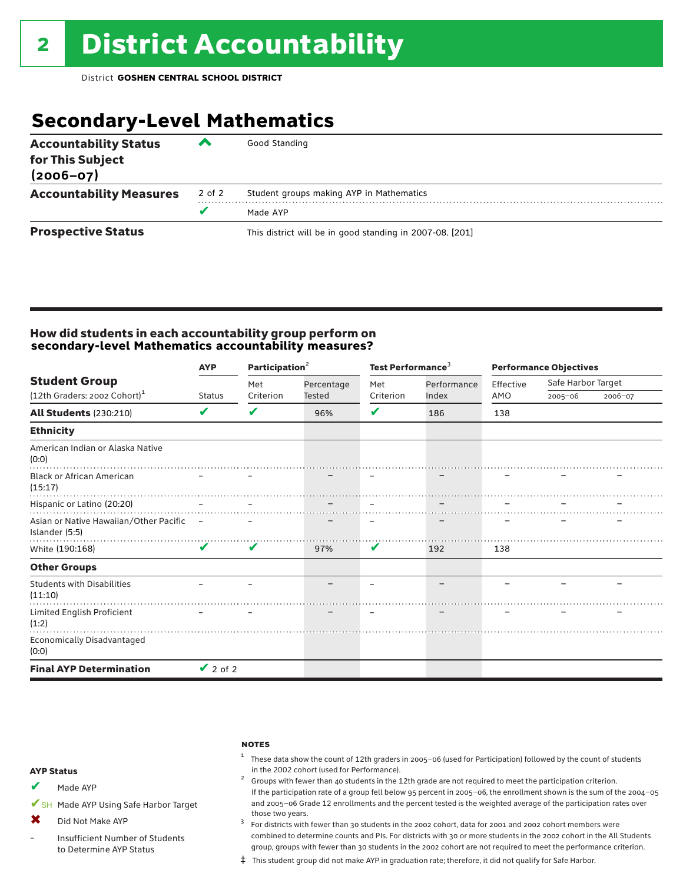## **Secondary-Level Mathematics**

| <b>Accountability Status</b><br>for This Subject<br>$(2006 - 07)$ | ▰      | Good Standing                                            |
|-------------------------------------------------------------------|--------|----------------------------------------------------------|
| <b>Accountability Measures</b>                                    | 2 of 2 | Student groups making AYP in Mathematics                 |
|                                                                   | v      | Made AYP                                                 |
| <b>Prospective Status</b>                                         |        | This district will be in good standing in 2007-08. [201] |

### How did students in each accountability group perform on **secondary-level Mathematics accountability measures?**

|                                                            | Participation <sup>2</sup><br><b>AYP</b> |           |            | Test Performance <sup>3</sup> |             | <b>Performance Objectives</b> |                    |         |
|------------------------------------------------------------|------------------------------------------|-----------|------------|-------------------------------|-------------|-------------------------------|--------------------|---------|
| <b>Student Group</b>                                       |                                          | Met       | Percentage | Met                           | Performance | Effective                     | Safe Harbor Target |         |
| (12th Graders: 2002 Cohort) <sup>1</sup>                   | <b>Status</b>                            | Criterion | Tested     | Criterion                     | Index       | AMO                           | $2005 - 06$        | 2006-07 |
| <b>All Students (230:210)</b>                              | V                                        | V         | 96%        | V                             | 186         | 138                           |                    |         |
| <b>Ethnicity</b>                                           |                                          |           |            |                               |             |                               |                    |         |
| American Indian or Alaska Native<br>(0:0)                  |                                          |           |            |                               |             |                               |                    |         |
| <b>Black or African American</b><br>(15:17)                |                                          |           |            |                               |             |                               |                    |         |
| Hispanic or Latino (20:20)                                 |                                          |           |            |                               |             |                               |                    |         |
| Asian or Native Hawaiian/Other Pacific –<br>Islander (5:5) |                                          |           |            |                               |             |                               |                    |         |
| White (190:168)                                            | $\boldsymbol{\mathcal{U}}$               | V         | 97%        | V                             | 192         | 138                           |                    |         |
| <b>Other Groups</b>                                        |                                          |           |            |                               |             |                               |                    |         |
| <b>Students with Disabilities</b><br>(11:10)               |                                          |           |            |                               |             |                               |                    |         |
| Limited English Proficient<br>(1:2)                        |                                          |           |            |                               |             |                               |                    |         |
| Economically Disadvantaged<br>(0:0)                        |                                          |           |            |                               |             |                               |                    |         |
| <b>Final AYP Determination</b>                             | $\vee$ 2 of 2                            |           |            |                               |             |                               |                    |         |

#### **NOTES**

 $1$  These data show the count of 12th graders in 2005-06 (used for Participation) followed by the count of students in the 2002 cohort (used for Performance).<br><sup>2</sup> Groups with fewer than 40 students in the 12th grade are not required to meet the participation criterion.

#### AYP Status

Made AYP ✔

✔SH Made AYP Using Safe Harbor Target

- Did Not Make AYP ✖
- Insufficient Number of Students to Determine AYP Status –

those two years.  $3$  For districts with fewer than 30 students in the 2002 cohort, data for 2001 and 2002 cohort members were combined to determine counts and PIs. For districts with 30 or more students in the 2002 cohort in the All Students group, groups with fewer than 30 students in the 2002 cohort are not required to meet the performance criterion.

If the participation rate of a group fell below 95 percent in 2005–06, the enrollment shown is the sum of the 2004–05 and 2005–06 Grade 12 enrollments and the percent tested is the weighted average of the participation rates over

‡ This student group did not make AYP in graduation rate; therefore, it did not qualify for Safe Harbor.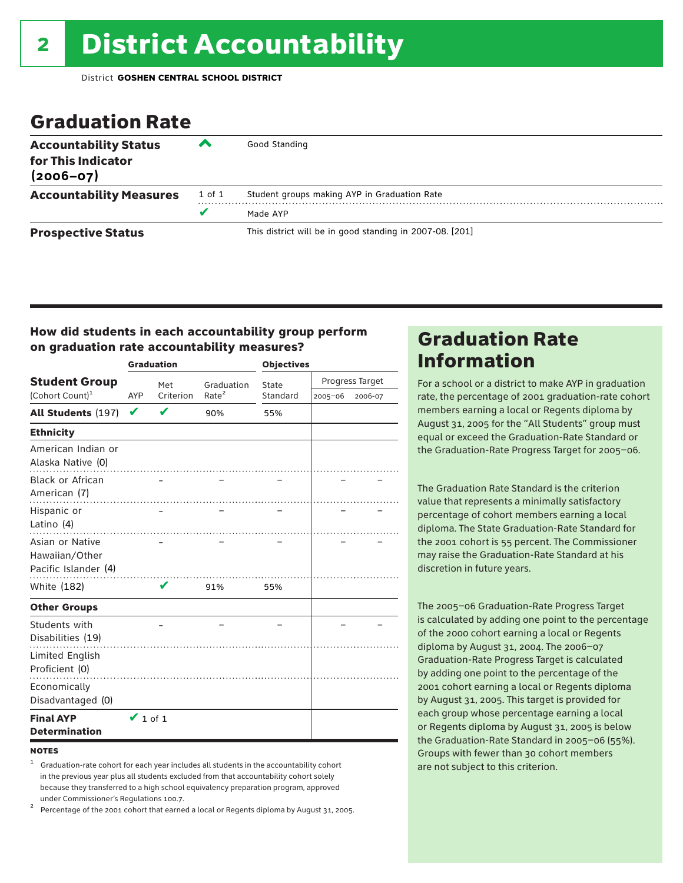### Graduation Rate

| <b>Accountability Status</b><br>for This Indicator<br>$(2006 - 07)$ | $\rightarrow$ | Good Standing                                            |
|---------------------------------------------------------------------|---------------|----------------------------------------------------------|
| <b>Accountability Measures</b>                                      | 1 of 1        | Student groups making AYP in Graduation Rate             |
|                                                                     | v             | Made AYP                                                 |
| <b>Prospective Status</b>                                           |               | This district will be in good standing in 2007-08. [201] |

### How did students in each accountability group perform on graduation rate accountability measures?

|                                                           |                  | <b>Graduation</b> |                   | <b>Objectives</b> |             |                 |  |
|-----------------------------------------------------------|------------------|-------------------|-------------------|-------------------|-------------|-----------------|--|
| <b>Student Group</b>                                      |                  | Met               | Graduation        | State             |             | Progress Target |  |
| (Cohort Count) <sup>1</sup>                               | Criterion<br>AYP |                   | Rate <sup>2</sup> | Standard          | $2005 - 06$ | 2006-07         |  |
| All Students (197)                                        | V                |                   | 90%               | 55%               |             |                 |  |
| <b>Ethnicity</b>                                          |                  |                   |                   |                   |             |                 |  |
| American Indian or<br>Alaska Native (0)                   |                  |                   |                   |                   |             |                 |  |
| <b>Black or African</b><br>American (7)                   |                  |                   |                   |                   |             |                 |  |
| Hispanic or<br>Latino (4)                                 |                  |                   |                   |                   |             |                 |  |
| Asian or Native<br>Hawaiian/Other<br>Pacific Islander (4) |                  |                   |                   |                   |             |                 |  |
| White (182)                                               |                  | v                 | 91%               | 55%               |             |                 |  |
| <b>Other Groups</b>                                       |                  |                   |                   |                   |             |                 |  |
| Students with<br>Disabilities (19)                        |                  |                   |                   |                   |             |                 |  |
| <b>Limited English</b><br>Proficient (0)                  |                  |                   |                   |                   |             |                 |  |
| Economically<br>Disadvantaged (0)                         |                  |                   |                   |                   |             |                 |  |
| <b>Final AYP</b><br><b>Determination</b>                  | $\vee$ 1 of 1    |                   |                   |                   |             |                 |  |

#### **NOTES**

<sup>1</sup> Graduation-rate cohort for each year includes all students in the accountability cohort in the previous year plus all students excluded from that accountability cohort solely because they transferred to a high school equivalency preparation program, approved

under Commissioner's Regulations 100.7. <sup>2</sup> Percentage of the 2001 cohort that earned a local or Regents diploma by August 31, 2005.

### Graduation Rate Information

For a school or a district to make AYP in graduation rate, the percentage of 2001 graduation-rate cohort members earning a local or Regents diploma by August 31, 2005 for the "All Students" group must equal or exceed the Graduation-Rate Standard or the Graduation-Rate Progress Target for 2005–06.

The Graduation Rate Standard is the criterion value that represents a minimally satisfactory percentage of cohort members earning a local diploma. The State Graduation-Rate Standard for the 2001 cohort is 55 percent. The Commissioner may raise the Graduation-Rate Standard at his discretion in future years.

The 2005–06 Graduation-Rate Progress Target is calculated by adding one point to the percentage of the 2000 cohort earning a local or Regents diploma by August 31, 2004. The 2006–07 Graduation-Rate Progress Target is calculated by adding one point to the percentage of the 2001 cohort earning a local or Regents diploma by August 31, 2005. This target is provided for each group whose percentage earning a local or Regents diploma by August 31, 2005 is below the Graduation-Rate Standard in 2005–06 (55%). Groups with fewer than 30 cohort members are not subject to this criterion.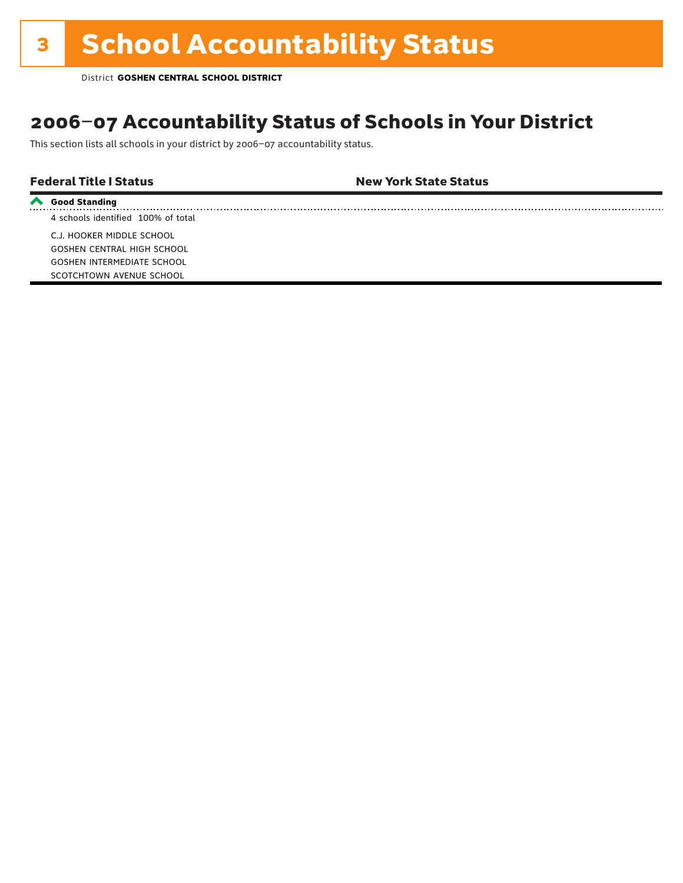## 2006–07 Accountability Status of Schools in Your District

This section lists all schools in your district by 2006–07 accountability status.

### Federal Title I Status New York State Status

**Good Standing**

4 schools identified 100% of total C.J. HOOKER MIDDLE SCHOOL GOSHEN CENTRAL HIGH SCHOOL GOSHEN INTERMEDIATE SCHOOL SCOTCHTOWN AVENUE SCHOOL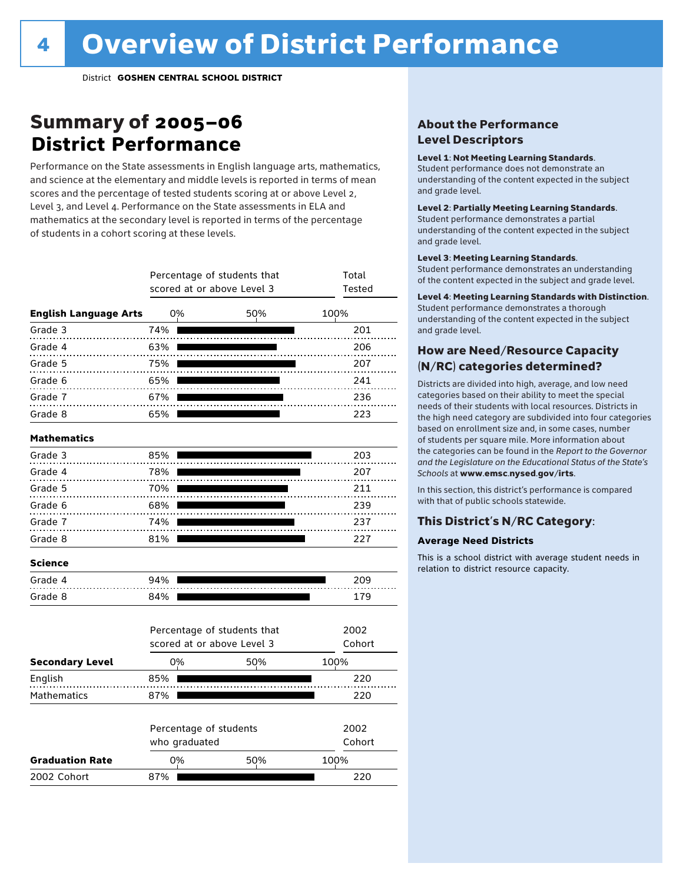### Summary of 2005–06 **District Performance**

Performance on the State assessments in English language arts, mathematics, and science at the elementary and middle levels is reported in terms of mean scores and the percentage of tested students scoring at or above Level 2, Level 3, and Level 4. Performance on the State assessments in ELA and mathematics at the secondary level is reported in terms of the percentage of students in a cohort scoring at these levels.

|                              |     | Percentage of students that<br>scored at or above Level 3 | Total<br>Tested             |        |
|------------------------------|-----|-----------------------------------------------------------|-----------------------------|--------|
|                              |     |                                                           |                             |        |
| <b>English Language Arts</b> |     | 0%                                                        | 50%                         | 100%   |
| Grade 3                      | 74% |                                                           |                             | 201    |
| Grade 4                      | 63% |                                                           |                             | 206    |
| Grade 5                      | 75% |                                                           |                             | 207    |
| Grade 6                      | 65% |                                                           |                             | 241    |
| Grade 7                      | 67% |                                                           |                             | 236    |
| Grade 8                      | 65% |                                                           |                             | 223    |
| <b>Mathematics</b>           |     |                                                           |                             |        |
| Grade 3                      | 85% |                                                           |                             | 203    |
| Grade 4                      | 78% |                                                           |                             | 207    |
| Grade 5                      | 70% |                                                           |                             | 211    |
| Grade 6                      | 68% |                                                           |                             | 239    |
| Grade 7                      | 74% |                                                           |                             | 237    |
| Grade 8                      | 81% |                                                           |                             | 227    |
| <b>Science</b>               |     |                                                           |                             |        |
| Grade 4                      | 94% |                                                           |                             | 209    |
| Grade 8                      | 84% |                                                           |                             | 179    |
|                              |     |                                                           | Percentage of students that | 2002   |
|                              |     | scored at or above Level 3                                |                             | Cohort |
| <b>Secondary Level</b>       |     | 0%                                                        | 50%                         | 100%   |
| English                      | 85% |                                                           |                             | 220    |
| Mathematics                  | 87% |                                                           |                             | 220    |
|                              |     | Percentage of students                                    |                             | 2002   |
|                              |     | who graduated                                             |                             | Cohort |
| <b>Graduation Rate</b>       |     | 0%                                                        | 50%                         | 100%   |
| 2002 Cohort                  | 87% |                                                           |                             | 220    |

### About the Performance Level Descriptors

#### Level 1: Not Meeting Learning Standards.

Student performance does not demonstrate an understanding of the content expected in the subject and grade level.

#### Level 2: Partially Meeting Learning Standards.

Student performance demonstrates a partial understanding of the content expected in the subject and grade level.

#### Level 3: Meeting Learning Standards.

Student performance demonstrates an understanding of the content expected in the subject and grade level.

#### Level 4: Meeting Learning Standards with Distinction.

Student performance demonstrates a thorough understanding of the content expected in the subject and grade level.

### How are Need/Resource Capacity (N/RC) categories determined?

Districts are divided into high, average, and low need categories based on their ability to meet the special needs of their students with local resources. Districts in the high need category are subdivided into four categories based on enrollment size and, in some cases, number of students per square mile. More information about the categories can be found in the *Report to the Governor and the Legislature on the Educational Status of the State's Schools* at www.emsc.nysed.gov/irts.

In this section, this district's performance is compared with that of public schools statewide.

### This District's N/RC Category:

#### **Average Need Districts**

This is a school district with average student needs in relation to district resource capacity.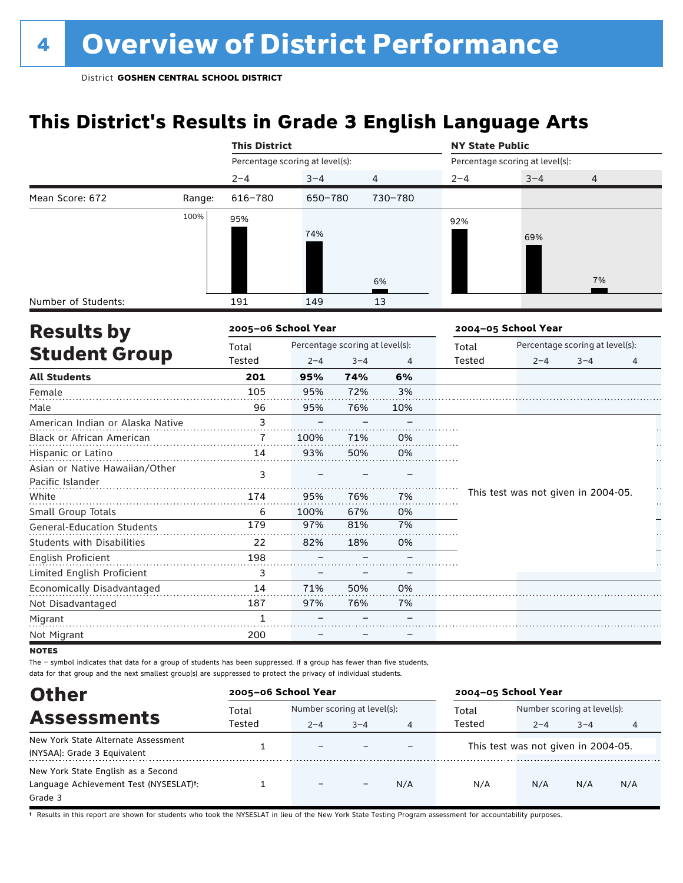## **This District's Results in Grade 3 English Language Arts**

|                                   |        | <b>This District</b>            |         |         |                                 | <b>NY State Public</b> |                                     |                                 |   |
|-----------------------------------|--------|---------------------------------|---------|---------|---------------------------------|------------------------|-------------------------------------|---------------------------------|---|
|                                   |        | Percentage scoring at level(s): |         |         |                                 |                        | Percentage scoring at level(s):     |                                 |   |
|                                   |        | $2 - 4$                         | $3 - 4$ |         | 4                               | $2 - 4$                | $3 - 4$                             | $\overline{4}$                  |   |
| Mean Score: 672                   | Range: | $616 - 780$                     | 650-780 |         | 730-780                         |                        |                                     |                                 |   |
|                                   | 100%   | 95%                             |         |         |                                 | 92%                    |                                     |                                 |   |
|                                   |        |                                 | 74%     |         |                                 |                        | 69%                                 |                                 |   |
|                                   |        |                                 |         |         |                                 |                        |                                     |                                 |   |
|                                   |        |                                 |         |         |                                 |                        |                                     |                                 |   |
|                                   |        |                                 |         |         | 6%                              |                        |                                     | 7%                              |   |
| Number of Students:               |        | 191                             | 149     |         | 13                              |                        |                                     |                                 |   |
| <b>Results by</b>                 |        | 2005-06 School Year             |         |         |                                 |                        | 2004-05 School Year                 |                                 |   |
|                                   |        | Total                           |         |         | Percentage scoring at level(s): | Total                  |                                     | Percentage scoring at level(s): |   |
| <b>Student Group</b>              |        | <b>Tested</b>                   | $2 - 4$ | $3 - 4$ | $\overline{4}$                  | Tested                 | $2 - 4$                             | $3 - 4$                         | 4 |
| <b>All Students</b>               |        | 201                             | 95%     | 74%     | 6%                              |                        |                                     |                                 |   |
| Female                            |        | 105                             | 95%     | 72%     | 3%                              |                        |                                     |                                 |   |
| Male                              |        | 96                              | 95%     | 76%     | 10%                             |                        |                                     |                                 |   |
| American Indian or Alaska Native  |        | 3                               |         |         |                                 |                        |                                     |                                 |   |
| Black or African American         |        | 7                               | 100%    | 71%     | 0%                              |                        |                                     |                                 |   |
| Hispanic or Latino                |        | 14                              | 93%     | 50%     | 0%                              |                        |                                     |                                 |   |
| Asian or Native Hawaiian/Other    |        | 3                               |         |         |                                 |                        |                                     |                                 |   |
| Pacific Islander                  |        |                                 |         |         |                                 |                        |                                     |                                 |   |
| White                             |        | 174                             | 95%     | 76%     | 7%                              |                        | This test was not given in 2004-05. |                                 |   |
| Small Group Totals                |        | 6                               | 100%    | 67%     | 0%                              |                        |                                     |                                 |   |
| <b>General-Education Students</b> |        | 179                             | 97%     | 81%     | 7%                              |                        |                                     |                                 |   |
| <b>Students with Disabilities</b> |        | 22                              | 82%     | 18%     | 0%                              |                        |                                     |                                 |   |
| English Proficient                |        | 198                             |         |         |                                 |                        |                                     |                                 |   |
| Limited English Proficient        |        | 3                               |         |         |                                 |                        |                                     |                                 |   |
| Economically Disadvantaged        |        | 14                              | 71%     | 50%     | 0%                              |                        |                                     |                                 |   |
| Not Disadvantaged                 |        | 187                             | 97%     | 76%     | 7%                              |                        |                                     |                                 |   |
| Migrant                           |        | 1                               |         |         |                                 |                        |                                     |                                 |   |
| Not Migrant                       |        | 200                             |         |         |                                 |                        |                                     |                                 |   |

**NOTES** 

The – symbol indicates that data for a group of students has been suppressed. If a group has fewer than five students, data for that group and the next smallest group(s) are suppressed to protect the privacy of individual students.

| <b>Other</b>                                        | 2005-06 School Year |                             |         |     | 2004-05 School Year |                                     |         |     |  |
|-----------------------------------------------------|---------------------|-----------------------------|---------|-----|---------------------|-------------------------------------|---------|-----|--|
| <b>Assessments</b>                                  | Total               | Number scoring at level(s): |         |     | Total               | Number scoring at level(s):         |         |     |  |
|                                                     | Tested              | $2 - 4$                     | $3 - 4$ | 4   | Tested              | $2 - 4$                             | $3 - 4$ | 4   |  |
| New York State Alternate Assessment                 |                     | $\overline{\phantom{0}}$    |         |     |                     | This test was not given in 2004-05. |         |     |  |
| (NYSAA): Grade 3 Equivalent                         |                     |                             |         |     |                     |                                     |         |     |  |
| New York State English as a Second                  |                     |                             |         |     |                     |                                     |         |     |  |
| Language Achievement Test (NYSESLAT) <sup>+</sup> : |                     | $\overline{\phantom{0}}$    |         | N/A | N/A                 | N/A                                 | N/A     | N/A |  |
| Grade 3                                             |                     |                             |         |     |                     |                                     |         |     |  |

† Results in this report are shown for students who took the NYSESLAT in lieu of the New York State Testing Program assessment for accountability purposes.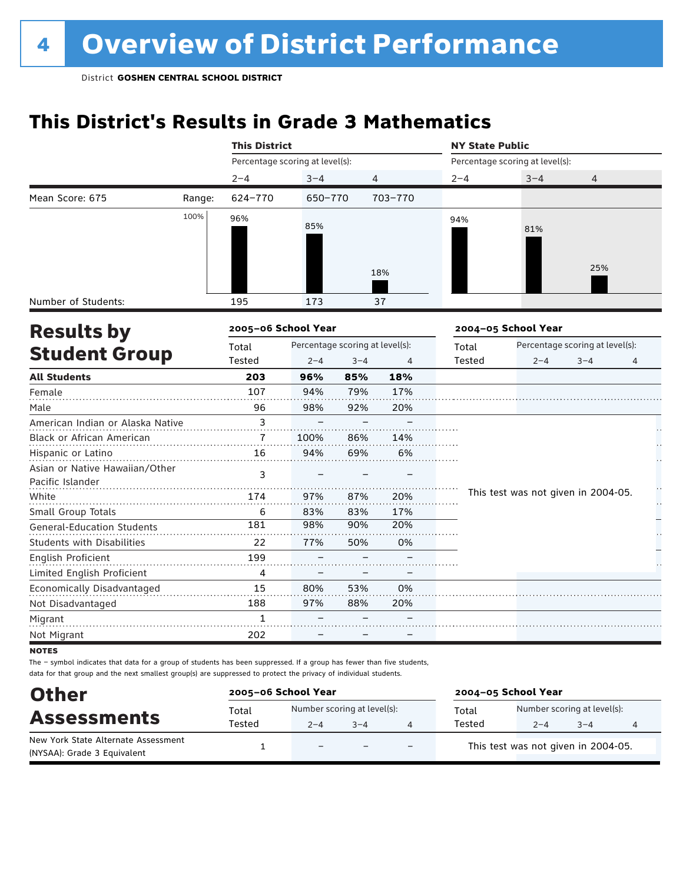## **This District's Results in Grade 3 Mathematics**

|                                                    |        | <b>This District</b>            |                                 |         |                | <b>NY State Public</b> |                                     |                                 |    |
|----------------------------------------------------|--------|---------------------------------|---------------------------------|---------|----------------|------------------------|-------------------------------------|---------------------------------|----|
|                                                    |        | Percentage scoring at level(s): |                                 |         |                |                        | Percentage scoring at level(s):     |                                 |    |
|                                                    |        | $2 - 4$                         | $3 - 4$                         |         | 4              | $2 - 4$                | $3 - 4$                             | 4                               |    |
| Mean Score: 675                                    | Range: | 624-770                         | 650-770                         |         | 703-770        |                        |                                     |                                 |    |
|                                                    | 100%   | 96%                             | 85%                             |         |                | 94%                    | 81%                                 |                                 |    |
|                                                    |        |                                 |                                 |         | 18%            |                        |                                     | 25%                             |    |
| Number of Students:                                |        | 195                             | 173                             |         | 37             |                        |                                     |                                 |    |
| <b>Results by</b>                                  |        | 2005-06 School Year             |                                 |         |                |                        | 2004-05 School Year                 |                                 |    |
|                                                    |        | Total                           | Percentage scoring at level(s): |         |                | Total                  |                                     | Percentage scoring at level(s): |    |
| <b>Student Group</b>                               |        | Tested                          | $2 - 4$                         | $3 - 4$ | $\overline{4}$ | Tested                 | $2 - 4$                             | $3 - 4$                         | 4  |
| <b>All Students</b>                                |        | 203                             | 96%                             | 85%     | 18%            |                        |                                     |                                 |    |
| Female                                             |        | 107                             | 94%                             | 79%     | 17%            |                        |                                     |                                 |    |
| Male                                               |        | 96                              | 98%                             | 92%     | 20%            |                        |                                     |                                 |    |
| American Indian or Alaska Native                   |        | 3                               |                                 |         |                |                        |                                     |                                 |    |
| Black or African American                          |        | 7                               | 100%                            | 86%     | 14%            |                        |                                     |                                 |    |
| Hispanic or Latino                                 |        | 16                              | 94%                             | 69%     | 6%             |                        |                                     |                                 |    |
| Asian or Native Hawaiian/Other<br>Pacific Islander |        | 3                               |                                 |         |                |                        |                                     |                                 |    |
| White                                              |        | 174                             | 97%                             | 87%     | 20%            |                        | This test was not given in 2004-05. |                                 |    |
| Small Group Totals                                 |        | 6                               | 83%                             | 83%     | 17%            |                        |                                     |                                 | ŗ. |
| <b>General-Education Students</b>                  |        | 181                             | 98%                             | 90%     | 20%            |                        |                                     |                                 |    |
| <b>Students with Disabilities</b>                  |        | 22                              | 77%                             | 50%     | 0%             |                        |                                     |                                 |    |
| English Proficient                                 |        | 199                             |                                 |         |                |                        |                                     |                                 |    |
| Limited English Proficient                         |        | 4                               |                                 |         |                |                        |                                     |                                 |    |
| Economically Disadvantaged                         |        | 15                              | 80%                             | 53%     | 0%             |                        |                                     |                                 |    |
| Not Disadvantaged                                  |        | 188                             | 97%                             | 88%     | 20%            |                        |                                     |                                 |    |
| Migrant                                            |        | $\mathbf{1}$                    |                                 |         |                |                        |                                     |                                 |    |
| Not Migrant                                        |        | 202                             |                                 |         |                |                        |                                     |                                 |    |

**NOTES** 

| <b>Other</b>                                                       | 2005-06 School Year |                                        |                          |     | 2004-05 School Year |                                        |         |   |  |  |
|--------------------------------------------------------------------|---------------------|----------------------------------------|--------------------------|-----|---------------------|----------------------------------------|---------|---|--|--|
| <b>Assessments</b>                                                 | Total<br>Tested     | Number scoring at level(s):<br>$2 - 4$ | $3 - 4$                  |     | Total<br>Tested     | Number scoring at level(s):<br>$2 - 4$ | $3 - 4$ | 4 |  |  |
| New York State Alternate Assessment<br>(NYSAA): Grade 3 Equivalent |                     | $\overline{\phantom{a}}$               | $\overline{\phantom{0}}$ | $-$ |                     | This test was not given in 2004-05.    |         |   |  |  |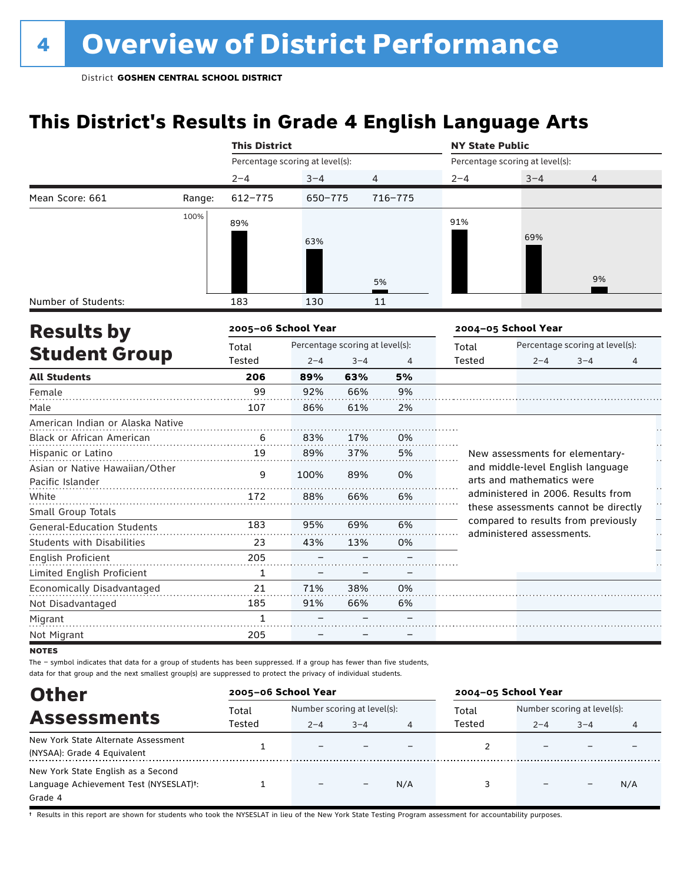## **This District's Results in Grade 4 English Language Arts**

|                                   |        | <b>This District</b>            |                                 |         |                | <b>NY State Public</b> |                                                                             |                                 |   |
|-----------------------------------|--------|---------------------------------|---------------------------------|---------|----------------|------------------------|-----------------------------------------------------------------------------|---------------------------------|---|
|                                   |        | Percentage scoring at level(s): |                                 |         |                |                        | Percentage scoring at level(s):                                             |                                 |   |
|                                   |        | $2 - 4$                         | $3 - 4$                         |         | $\overline{4}$ | $2 - 4$                | $3 - 4$                                                                     | 4                               |   |
| Mean Score: 661                   | Range: | 612-775                         | 650-775                         |         | 716-775        |                        |                                                                             |                                 |   |
|                                   | 100%   | 89%                             |                                 |         |                | 91%                    |                                                                             |                                 |   |
|                                   |        |                                 |                                 |         |                |                        | 69%                                                                         |                                 |   |
|                                   |        |                                 | 63%                             |         |                |                        |                                                                             |                                 |   |
|                                   |        |                                 |                                 |         |                |                        |                                                                             |                                 |   |
|                                   |        |                                 |                                 |         | 5%             |                        |                                                                             | 9%                              |   |
| Number of Students:               |        | 183                             | 130                             |         | 11             |                        |                                                                             |                                 |   |
| <b>Results by</b>                 |        | 2005-06 School Year             |                                 |         |                |                        | 2004-05 School Year                                                         |                                 |   |
|                                   |        | Total                           | Percentage scoring at level(s): |         |                | Total                  |                                                                             | Percentage scoring at level(s): |   |
| <b>Student Group</b>              |        | Tested                          | $2 - 4$                         | $3 - 4$ | $\overline{4}$ | Tested                 | $2 - 4$                                                                     | $3 - 4$                         | 4 |
| <b>All Students</b>               |        | 206                             | 89%                             | 63%     | 5%             |                        |                                                                             |                                 |   |
| Female                            |        | 99                              | 92%                             | 66%     | 9%             |                        |                                                                             |                                 |   |
| Male                              |        | 107                             | 86%                             | 61%     | 2%             |                        |                                                                             |                                 |   |
| American Indian or Alaska Native  |        |                                 |                                 |         |                |                        |                                                                             |                                 |   |
| <b>Black or African American</b>  |        | 6                               | 83%                             | 17%     | 0%             |                        |                                                                             |                                 |   |
| Hispanic or Latino                |        | 19                              | 89%                             | 37%     | 5%             |                        | New assessments for elementary-                                             |                                 |   |
| Asian or Native Hawaiian/Other    |        | 9                               | 100%                            | 89%     | 0%             |                        | and middle-level English language                                           |                                 |   |
| Pacific Islander                  |        |                                 |                                 |         |                |                        | arts and mathematics were                                                   |                                 |   |
| White                             |        | 172                             | 88%                             | 66%     | 6%             |                        | administered in 2006. Results from                                          |                                 |   |
| Small Group Totals                |        |                                 |                                 |         |                |                        | these assessments cannot be directly<br>compared to results from previously |                                 |   |
| <b>General-Education Students</b> |        | 183                             | 95%                             | 69%     | 6%             |                        | administered assessments.                                                   |                                 |   |
| <b>Students with Disabilities</b> |        | 23                              | 43%                             | 13%     | 0%             |                        |                                                                             |                                 |   |
| English Proficient                |        | 205                             |                                 |         |                |                        |                                                                             |                                 |   |
| Limited English Proficient        |        | $\mathbf{1}$                    |                                 |         |                |                        |                                                                             |                                 |   |
| Economically Disadvantaged        |        | 21                              | 71%                             | 38%     | 0%             |                        |                                                                             |                                 |   |
| Not Disadvantaged                 |        | 185                             | 91%                             | 66%     | 6%             |                        |                                                                             |                                 |   |
| Migrant                           |        | $\mathbf{1}$                    |                                 |         |                |                        |                                                                             |                                 |   |
| Not Migrant                       |        | 205                             |                                 |         |                |                        |                                                                             |                                 |   |

**NOTES** 

The – symbol indicates that data for a group of students has been suppressed. If a group has fewer than five students, data for that group and the next smallest group(s) are suppressed to protect the privacy of individual students.

| <b>Other</b>                                        | 2005-06 School Year |                             |         |     | 2004-05 School Year |                             |         |     |  |
|-----------------------------------------------------|---------------------|-----------------------------|---------|-----|---------------------|-----------------------------|---------|-----|--|
| <b>Assessments</b>                                  | Total               | Number scoring at level(s): |         |     | Total               | Number scoring at level(s): |         |     |  |
|                                                     | Tested              | $2 - 4$                     | $3 - 4$ | 4   | Tested              | $2 - 4$                     | $3 - 4$ | 4   |  |
| New York State Alternate Assessment                 |                     | -                           |         |     |                     |                             |         |     |  |
| (NYSAA): Grade 4 Equivalent                         |                     |                             |         |     |                     |                             |         |     |  |
| New York State English as a Second                  |                     |                             |         |     |                     |                             |         |     |  |
| Language Achievement Test (NYSESLAT) <sup>+</sup> : |                     | $\qquad \qquad$             |         | N/A |                     |                             |         | N/A |  |
| Grade 4                                             |                     |                             |         |     |                     |                             |         |     |  |

† Results in this report are shown for students who took the NYSESLAT in lieu of the New York State Testing Program assessment for accountability purposes.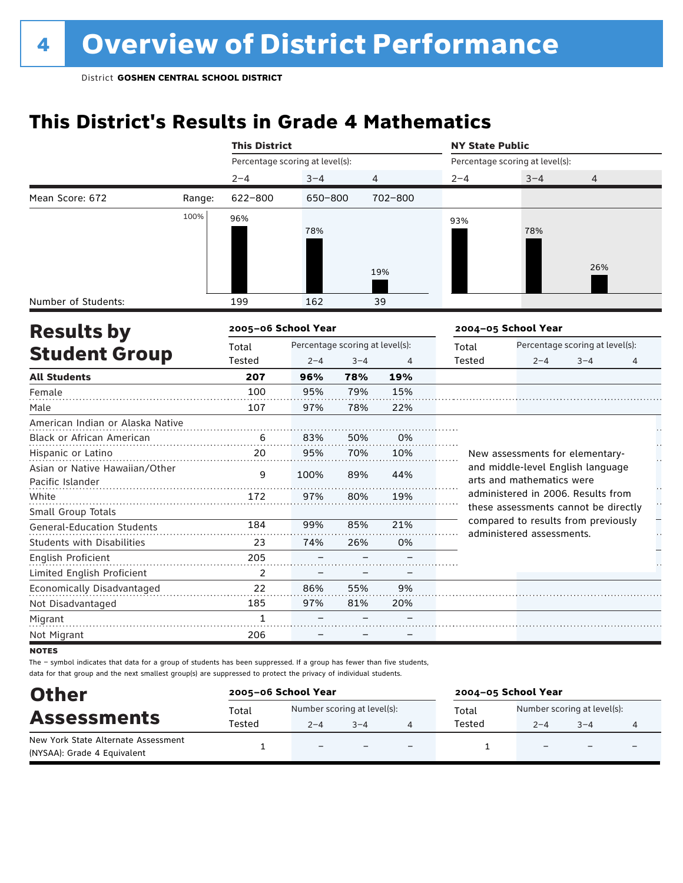## **This District's Results in Grade 4 Mathematics**

|                                   |        | <b>This District</b>            |         |         |                                 | <b>NY State Public</b> |                                                                            |         |   |    |  |
|-----------------------------------|--------|---------------------------------|---------|---------|---------------------------------|------------------------|----------------------------------------------------------------------------|---------|---|----|--|
|                                   |        | Percentage scoring at level(s): |         |         |                                 |                        | Percentage scoring at level(s):                                            |         |   |    |  |
|                                   |        | $2 - 4$                         | $3 - 4$ |         | 4                               | $2 - 4$                | $3 - 4$                                                                    | 4       |   |    |  |
| Mean Score: 672                   | Range: | 622-800                         | 650-800 |         | 702-800                         |                        |                                                                            |         |   |    |  |
|                                   | 100%   | 96%                             |         |         |                                 | 93%                    |                                                                            |         |   |    |  |
|                                   |        |                                 | 78%     |         |                                 |                        | 78%                                                                        |         |   |    |  |
|                                   |        |                                 |         |         |                                 |                        |                                                                            |         |   |    |  |
|                                   |        |                                 |         |         |                                 |                        |                                                                            | 26%     |   |    |  |
|                                   |        |                                 |         |         | 19%                             |                        |                                                                            |         |   |    |  |
| Number of Students:               |        | 199                             | 162     |         | 39                              |                        |                                                                            |         |   |    |  |
|                                   |        | 2005-06 School Year             |         |         |                                 |                        |                                                                            |         |   |    |  |
| <b>Results by</b>                 |        | Total                           |         |         | Percentage scoring at level(s): |                        | 2004-05 School Year<br>Percentage scoring at level(s):                     |         |   |    |  |
| <b>Student Group</b>              |        | Tested                          | $2 - 4$ | $3 - 4$ | 4                               | Total<br>Tested        | $2 - 4$                                                                    | $3 - 4$ | 4 |    |  |
| <b>All Students</b>               |        | 207                             | 96%     | 78%     | 19%                             |                        |                                                                            |         |   |    |  |
| Female                            |        | 100                             | 95%     | 79%     | 15%                             |                        |                                                                            |         |   |    |  |
| Male                              |        | 107                             | 97%     | 78%     | 22%                             |                        |                                                                            |         |   |    |  |
| American Indian or Alaska Native  |        |                                 |         |         |                                 |                        |                                                                            |         |   |    |  |
| Black or African American         |        | 6                               | 83%     | 50%     | 0%                              |                        |                                                                            |         |   |    |  |
| Hispanic or Latino                |        | 20                              | 95%     | 70%     | 10%                             |                        | New assessments for elementary-                                            |         |   | Н  |  |
| Asian or Native Hawaiian/Other    |        | 9                               | 100%    | 89%     | 44%                             |                        | and middle-level English language                                          |         |   |    |  |
| Pacific Islander                  |        |                                 |         |         |                                 |                        | arts and mathematics were                                                  |         |   |    |  |
| White                             |        | 172                             | 97%     | 80%     | 19%                             |                        | administered in 2006. Results from<br>these assessments cannot be directly |         |   | ł. |  |
| Small Group Totals                |        |                                 |         |         |                                 |                        | compared to results from previously                                        |         |   |    |  |
| <b>General-Education Students</b> |        | 184                             | 99%     | 85%     | 21%                             |                        | administered assessments.                                                  |         |   | ł. |  |
| <b>Students with Disabilities</b> |        | 23                              | 74%     | 26%     | 0%                              |                        |                                                                            |         |   |    |  |
| English Proficient                |        | 205                             |         |         |                                 |                        |                                                                            |         |   |    |  |
| Limited English Proficient        |        | 2                               |         |         |                                 |                        |                                                                            |         |   |    |  |
| Economically Disadvantaged        |        | 22                              | 86%     | 55%     | 9%                              |                        |                                                                            |         |   |    |  |
| Not Disadvantaged                 |        | 185                             | 97%     | 81%     | 20%                             |                        |                                                                            |         |   |    |  |
| Migrant                           |        | 1                               |         |         |                                 |                        |                                                                            |         |   |    |  |
| Not Migrant                       |        | 206                             |         |         |                                 |                        |                                                                            |         |   |    |  |

**NOTES** 

| <b>Other</b>                                                       | 2005-06 School Year |                                        |         |                          | 2004-05 School Year |                                        |                          |                          |  |  |
|--------------------------------------------------------------------|---------------------|----------------------------------------|---------|--------------------------|---------------------|----------------------------------------|--------------------------|--------------------------|--|--|
| <b>Assessments</b>                                                 | Total<br>Tested     | Number scoring at level(s):<br>$2 - 4$ | $3 - 4$ |                          | Total<br>Tested     | Number scoring at level(s):<br>$2 - 4$ | $3 - 4$                  |                          |  |  |
| New York State Alternate Assessment<br>(NYSAA): Grade 4 Equivalent |                     | $\equiv$                               |         | $\overline{\phantom{0}}$ |                     | $\overline{\phantom{0}}$               | $\overline{\phantom{0}}$ | $\overline{\phantom{0}}$ |  |  |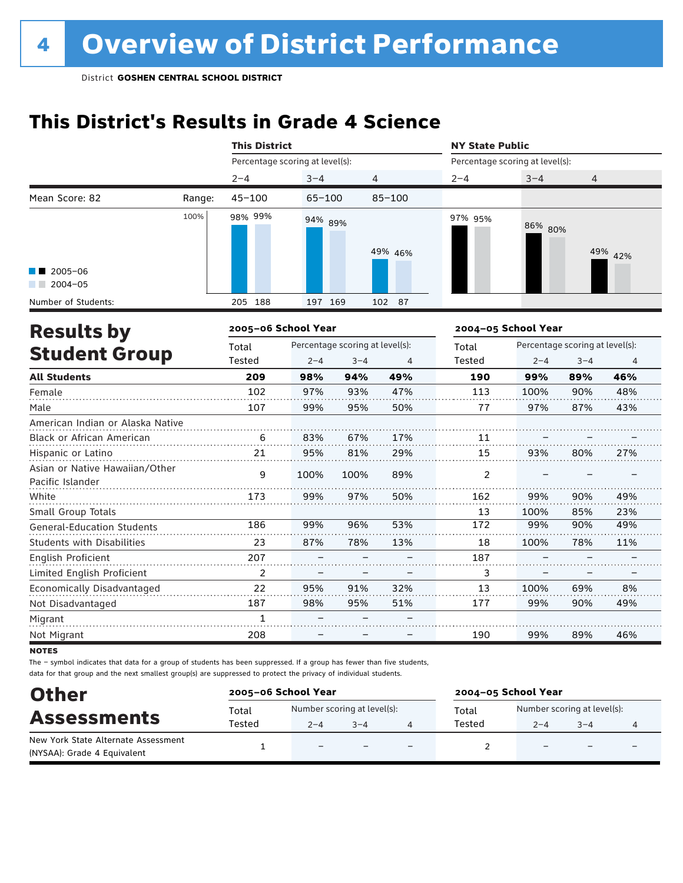## **This District's Results in Grade 4 Science**

|                                                    |        | <b>This District</b>            |            |                                 |            | <b>NY State Public</b>          |                     |                                 |         |  |
|----------------------------------------------------|--------|---------------------------------|------------|---------------------------------|------------|---------------------------------|---------------------|---------------------------------|---------|--|
|                                                    |        | Percentage scoring at level(s): |            |                                 |            | Percentage scoring at level(s): |                     |                                 |         |  |
|                                                    |        | $2 - 4$                         | $3 - 4$    |                                 | 4          | $2 - 4$                         | $3 - 4$             | $\overline{4}$                  |         |  |
| Mean Score: 82                                     | Range: | $45 - 100$                      | $65 - 100$ |                                 | $85 - 100$ |                                 |                     |                                 |         |  |
|                                                    | 100%   | 98% 99%                         | 94% 89%    |                                 | 49% 46%    | 97% 95%                         | 86% 80%             |                                 | 49% 42% |  |
| $2005 - 06$<br>$2004 - 05$                         |        |                                 |            |                                 |            |                                 |                     |                                 |         |  |
| Number of Students:                                |        | 205 188                         | 197 169    |                                 | 102 87     |                                 |                     |                                 |         |  |
| <b>Results by</b>                                  |        | 2005-06 School Year             |            |                                 |            |                                 | 2004-05 School Year |                                 |         |  |
|                                                    |        | Total                           |            | Percentage scoring at level(s): |            | Total                           |                     | Percentage scoring at level(s): |         |  |
| <b>Student Group</b>                               |        | Tested                          | $2 - 4$    | $3 - 4$                         | 4          | Tested                          | $2 - 4$             | $3 - 4$                         | 4       |  |
| <b>All Students</b>                                |        | 209                             | 98%        | 94%                             | 49%        | 190                             | 99%                 | 89%                             | 46%     |  |
| Female                                             |        | 102                             | 97%        | 93%                             | 47%        | 113                             | 100%                | 90%                             | 48%     |  |
| Male                                               |        | 107                             | 99%        | 95%                             | 50%        | 77                              | 97%                 | 87%                             | 43%     |  |
| American Indian or Alaska Native                   |        |                                 |            |                                 |            |                                 |                     |                                 |         |  |
| Black or African American                          |        | 6                               | 83%        | 67%                             | 17%        | 11                              |                     |                                 |         |  |
| Hispanic or Latino                                 |        | 21                              | 95%        | 81%                             | 29%        | 15                              | 93%                 | 80%                             | 27%     |  |
| Asian or Native Hawaiian/Other<br>Pacific Islander |        | q                               | 100%       | 100%                            | 89%        | 2                               |                     |                                 |         |  |
| White                                              |        | 173                             | 99%        | 97%                             | 50%        | 162                             | 99%                 | 90%                             | 49%     |  |
| Small Group Totals                                 |        |                                 |            |                                 |            | 13                              | 100%                | 85%                             | 23%     |  |
| <b>General-Education Students</b>                  |        | 186                             | 99%        | 96%                             | 53%        | 172                             | 99%                 | 90%                             | 49%     |  |
| <b>Students with Disabilities</b>                  |        | 23                              | 87%        | 78%                             | 13%        | 18                              | 100%                | 78%                             | 11%     |  |
| English Proficient                                 |        | 207                             |            |                                 |            | 187                             |                     |                                 |         |  |
| Limited English Proficient                         |        | $\overline{2}$                  |            |                                 |            | 3                               |                     |                                 |         |  |
| Economically Disadvantaged                         |        | 22                              | 95%        | 91%                             | 32%        | 13                              | 100%                | 69%                             | 8%      |  |
| Not Disadvantaged                                  |        | 187                             | 98%        | 95%                             | 51%        | 177                             | 99%                 | 90%                             | 49%     |  |
| Migrant                                            |        | $\mathbf{1}$                    |            |                                 |            |                                 |                     |                                 |         |  |
| Not Migrant                                        |        | 208                             |            |                                 |            | 190                             | 99%                 | 89%                             | 46%     |  |

**NOTES** 

| <b>Other</b>                                                       | 2005-06 School Year |                                        |         |                          | 2004-05 School Year |                                        |                          |                          |  |  |
|--------------------------------------------------------------------|---------------------|----------------------------------------|---------|--------------------------|---------------------|----------------------------------------|--------------------------|--------------------------|--|--|
| <b>Assessments</b>                                                 | Total<br>Tested     | Number scoring at level(s):<br>$2 - 4$ | $3 - 4$ |                          | Total<br>Tested     | Number scoring at level(s):<br>$2 - 4$ | $3 - 4$                  |                          |  |  |
| New York State Alternate Assessment<br>(NYSAA): Grade 4 Equivalent |                     | $\equiv$                               |         | $\overline{\phantom{0}}$ |                     | $\overline{\phantom{0}}$               | $\overline{\phantom{0}}$ | $\overline{\phantom{0}}$ |  |  |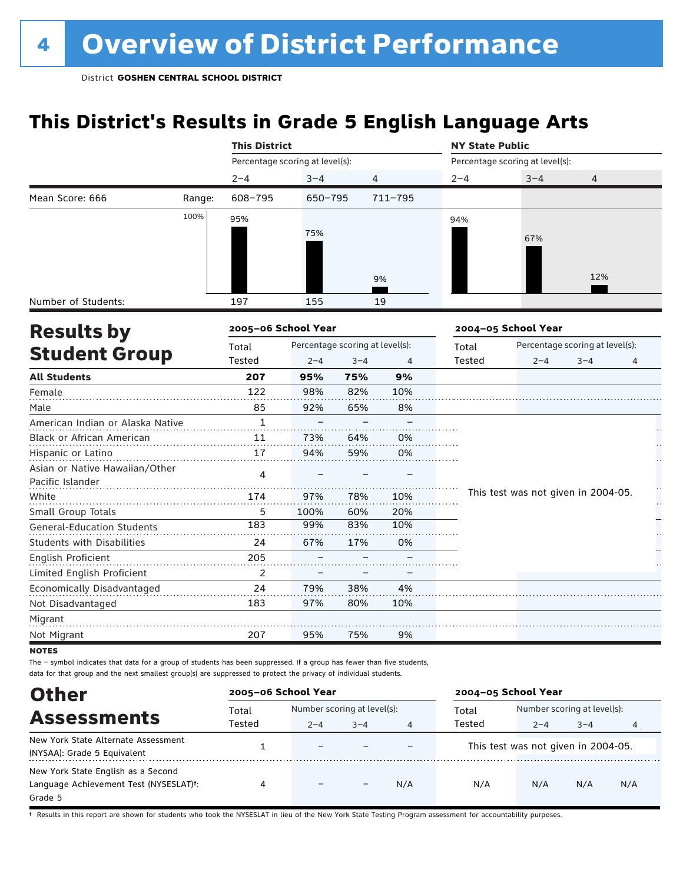## **This District's Results in Grade 5 English Language Arts**

|                                                    |        | <b>This District</b>            |                                 |         |         | <b>NY State Public</b> |                                     |                                 |   |  |
|----------------------------------------------------|--------|---------------------------------|---------------------------------|---------|---------|------------------------|-------------------------------------|---------------------------------|---|--|
|                                                    |        | Percentage scoring at level(s): |                                 |         |         |                        | Percentage scoring at level(s):     |                                 |   |  |
|                                                    |        | $2 - 4$                         | $3 - 4$                         |         | 4       | $2 - 4$                | $3 - 4$                             | 4                               |   |  |
| Mean Score: 666                                    | Range: | 608-795                         | 650-795                         |         | 711-795 |                        |                                     |                                 |   |  |
|                                                    | 100%   | 95%                             |                                 |         |         | 94%                    |                                     |                                 |   |  |
|                                                    |        |                                 | 75%                             |         |         |                        | 67%                                 |                                 |   |  |
|                                                    |        |                                 |                                 |         | 9%      |                        |                                     | 12%                             |   |  |
| Number of Students:                                |        | 197                             | 155                             |         | 19      |                        |                                     |                                 |   |  |
| <b>Results by</b>                                  |        | 2005-06 School Year             |                                 |         |         |                        | 2004-05 School Year                 |                                 |   |  |
|                                                    |        | Total                           | Percentage scoring at level(s): |         |         | Total                  |                                     | Percentage scoring at level(s): |   |  |
| <b>Student Group</b>                               |        | Tested                          | $2 - 4$                         | $3 - 4$ | 4       | Tested                 | $2 - 4$                             | $3 - 4$                         | 4 |  |
| <b>All Students</b>                                |        | 207                             | 95%                             | 75%     | 9%      |                        |                                     |                                 |   |  |
| Female                                             |        | 122                             | 98%                             | 82%     | 10%     |                        |                                     |                                 |   |  |
| Male                                               |        | 85                              | 92%                             | 65%     | 8%      |                        |                                     |                                 |   |  |
| American Indian or Alaska Native                   |        | $\mathbf{1}$                    |                                 |         |         |                        |                                     |                                 |   |  |
| Black or African American                          |        | 11                              | 73%                             | 64%     | 0%      |                        |                                     |                                 |   |  |
| Hispanic or Latino                                 |        | 17                              | 94%                             | 59%     | 0%      |                        |                                     |                                 |   |  |
| Asian or Native Hawaiian/Other<br>Pacific Islander |        | 4                               |                                 |         |         |                        |                                     |                                 |   |  |
| White                                              |        | 174                             | 97%                             | 78%     | 10%     |                        | This test was not given in 2004-05. |                                 |   |  |
| Small Group Totals                                 |        | 5                               | 100%                            | 60%     | 20%     |                        |                                     |                                 |   |  |
| General-Education Students                         |        | 183                             | 99%                             | 83%     | 10%     |                        |                                     |                                 |   |  |
| <b>Students with Disabilities</b>                  |        | 24                              | 67%                             | 17%     | 0%      |                        |                                     |                                 |   |  |
| <b>English Proficient</b>                          |        | 205                             |                                 |         |         |                        |                                     |                                 |   |  |
| Limited English Proficient                         |        | $\overline{2}$                  |                                 |         |         |                        |                                     |                                 |   |  |
| Economically Disadvantaged                         |        | 24                              | 79%                             | 38%     | 4%      |                        |                                     |                                 |   |  |
| Not Disadvantaged                                  |        | 183                             | 97%                             | 80%     | 10%     |                        |                                     |                                 |   |  |
| Migrant                                            |        |                                 |                                 |         |         |                        |                                     |                                 |   |  |
| Not Migrant                                        |        | 207                             | 95%                             | 75%     | 9%      |                        |                                     |                                 |   |  |

**NOTES** 

The – symbol indicates that data for a group of students has been suppressed. If a group has fewer than five students,

Assessments<br>
Total Number scoring at level and Total Number scoring at level(s):<br>
Tested 2-4 3-4 3-4<br>
Tested 2-4 3-4 2–4 3–4 4 2–4 3–4 4 Other data for that group and the next smallest group(s) are suppressed to protect the privacy of individual students. **2005–06 School Year 2004–05 School Year** Total Tested Total Tested New York State Alternate Assessment (NYSAA): Grade 5 Equivalent  $1 -$  – – – – This test was not given in 2004-05. New York State English as a Second Language Achievement Test (NYSESLAT)†: Grade 5 4 – – N/A N/A N/A N/A N/A

† Results in this report are shown for students who took the NYSESLAT in lieu of the New York State Testing Program assessment for accountability purposes.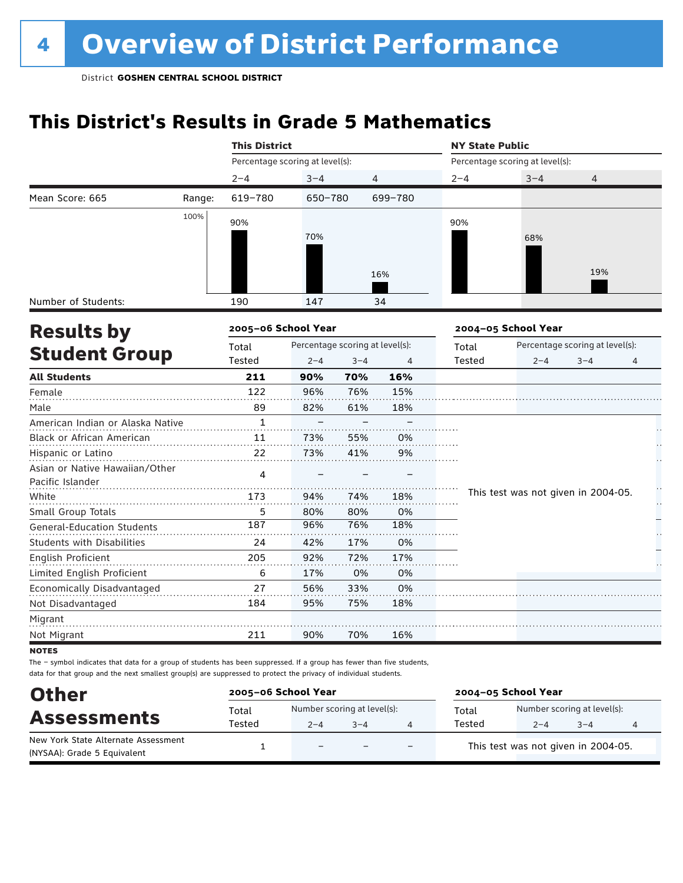## **This District's Results in Grade 5 Mathematics**

|                                   |        | <b>This District</b>            |                                 |         |         | <b>NY State Public</b> |                                     |                                 |    |  |  |
|-----------------------------------|--------|---------------------------------|---------------------------------|---------|---------|------------------------|-------------------------------------|---------------------------------|----|--|--|
|                                   |        | Percentage scoring at level(s): |                                 |         |         |                        | Percentage scoring at level(s):     |                                 |    |  |  |
|                                   |        | $2 - 4$                         | $3 - 4$                         |         | 4       | $2 - 4$                | $3 - 4$                             | 4                               |    |  |  |
| Mean Score: 665                   | Range: | 619-780                         | 650-780                         |         | 699-780 |                        |                                     |                                 |    |  |  |
|                                   | 100%   | 90%                             |                                 |         |         | 90%                    |                                     |                                 |    |  |  |
|                                   |        |                                 | 70%                             |         |         |                        | 68%                                 |                                 |    |  |  |
|                                   |        |                                 |                                 |         |         |                        |                                     |                                 |    |  |  |
|                                   |        |                                 |                                 |         |         |                        |                                     |                                 |    |  |  |
|                                   |        |                                 |                                 |         | 16%     |                        |                                     | 19%                             |    |  |  |
| Number of Students:               |        | 190                             | 147                             |         | 34      |                        |                                     |                                 |    |  |  |
| <b>Results by</b>                 |        | 2005-06 School Year             |                                 |         |         |                        | 2004-05 School Year                 |                                 |    |  |  |
|                                   |        | Total                           | Percentage scoring at level(s): |         |         | Total                  |                                     | Percentage scoring at level(s): |    |  |  |
| <b>Student Group</b>              |        | Tested                          | $2 - 4$                         | $3 - 4$ | 4       | Tested                 | $2 - 4$                             | $3 - 4$                         | 4  |  |  |
| <b>All Students</b>               |        | 211                             | 90%                             | 70%     | 16%     |                        |                                     |                                 |    |  |  |
| Female                            |        | 122                             | 96%                             | 76%     | 15%     |                        |                                     |                                 |    |  |  |
| Male                              |        | 89                              | 82%                             | 61%     | 18%     |                        |                                     |                                 |    |  |  |
| American Indian or Alaska Native  |        | 1                               |                                 |         |         |                        |                                     |                                 |    |  |  |
| Black or African American         |        | 11                              | 73%                             | 55%     | 0%      |                        |                                     |                                 |    |  |  |
| Hispanic or Latino                |        | 22                              | 73%                             | 41%     | 9%      |                        |                                     |                                 |    |  |  |
| Asian or Native Hawaiian/Other    |        | 4                               |                                 |         |         |                        |                                     |                                 |    |  |  |
| Pacific Islander                  |        |                                 |                                 |         |         |                        |                                     |                                 |    |  |  |
| White                             |        | 173                             | 94%                             | 74%     | 18%     |                        | This test was not given in 2004-05. |                                 | ķ. |  |  |
| Small Group Totals                |        | 5                               | 80%                             | 80%     | 0%      |                        |                                     |                                 |    |  |  |
| <b>General-Education Students</b> |        | 187                             | 96%                             | 76%     | 18%     |                        |                                     |                                 |    |  |  |
| <b>Students with Disabilities</b> |        | 24                              | 42%                             | 17%     | 0%      |                        |                                     |                                 |    |  |  |
| <b>English Proficient</b>         |        | 205                             | 92%                             | 72%     | 17%     |                        |                                     |                                 |    |  |  |
| Limited English Proficient        |        | 6                               | 17%                             | 0%      | 0%      |                        |                                     |                                 |    |  |  |
| Economically Disadvantaged        |        | 27                              | 56%                             | 33%     | 0%      |                        |                                     |                                 |    |  |  |
| Not Disadvantaged                 |        | 184                             | 95%                             | 75%     | 18%     |                        |                                     |                                 |    |  |  |
| Migrant                           |        |                                 |                                 |         |         |                        |                                     |                                 |    |  |  |
| Not Migrant                       |        | 211                             | 90%                             | 70%     | 16%     |                        |                                     |                                 |    |  |  |
| <b>NOTES</b>                      |        |                                 |                                 |         |         |                        |                                     |                                 |    |  |  |

| <b>Other</b>                                                       | 2005-06 School Year |                                        |         |                          | 2004-05 School Year |                                        |         |   |  |  |
|--------------------------------------------------------------------|---------------------|----------------------------------------|---------|--------------------------|---------------------|----------------------------------------|---------|---|--|--|
| <b>Assessments</b>                                                 | Total<br>Tested     | Number scoring at level(s):<br>$2 - 4$ | $3 - 4$ |                          | Total<br>Tested     | Number scoring at level(s):<br>$2 - 4$ | $3 - 4$ | 4 |  |  |
| New York State Alternate Assessment<br>(NYSAA): Grade 5 Equivalent |                     | $\overline{\phantom{0}}$               |         | $\overline{\phantom{0}}$ |                     | This test was not given in 2004-05.    |         |   |  |  |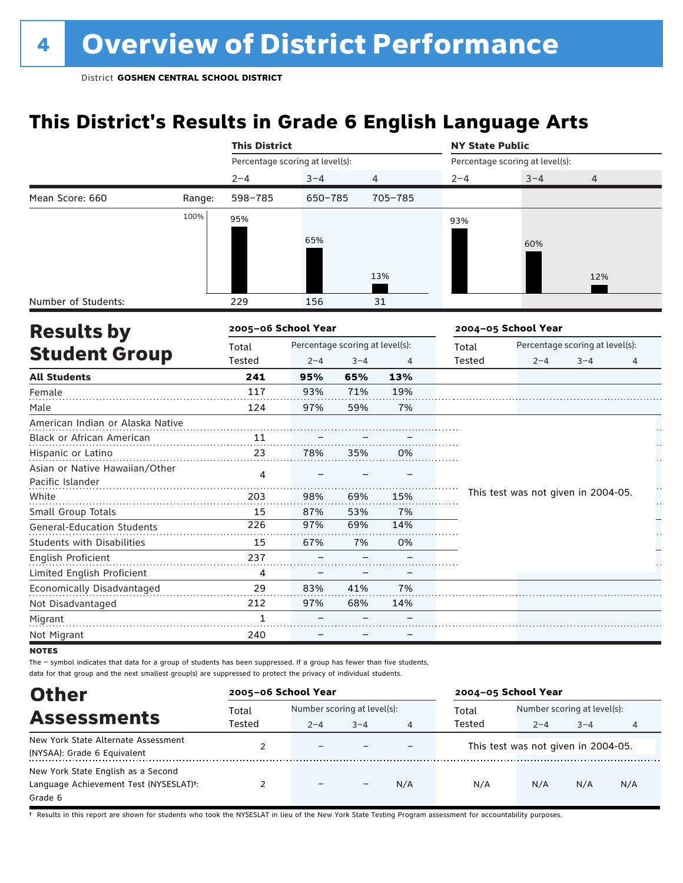## **This District's Results in Grade 6 English Language Arts**

|                                   |        | <b>This District</b>                     |                                 |         |         | <b>NY State Public</b> |                                     |                                 |    |  |
|-----------------------------------|--------|------------------------------------------|---------------------------------|---------|---------|------------------------|-------------------------------------|---------------------------------|----|--|
|                                   |        |                                          | Percentage scoring at level(s): |         |         |                        | Percentage scoring at level(s):     |                                 |    |  |
|                                   |        | $2 - 4$                                  | $3 - 4$                         |         | 4       | $2 - 4$                | $3 - 4$                             | $\overline{4}$                  |    |  |
| Mean Score: 660                   | Range: | 598-785                                  | 650-785                         |         | 705-785 |                        |                                     |                                 |    |  |
|                                   | 100%   | 95%                                      |                                 |         |         | 93%                    |                                     |                                 |    |  |
|                                   |        |                                          | 65%                             |         |         |                        |                                     |                                 |    |  |
|                                   |        |                                          |                                 |         |         |                        | 60%                                 |                                 |    |  |
|                                   |        |                                          |                                 |         |         |                        |                                     |                                 |    |  |
|                                   |        |                                          |                                 |         | 13%     |                        |                                     | 12%                             |    |  |
| Number of Students:               |        | 229                                      | 156                             |         | 31      |                        |                                     |                                 |    |  |
| <b>Results by</b>                 |        | 2005-06 School Year                      |                                 |         |         |                        | 2004-05 School Year                 |                                 |    |  |
|                                   |        | Percentage scoring at level(s):<br>Total |                                 |         |         | Total                  |                                     | Percentage scoring at level(s): |    |  |
| <b>Student Group</b>              |        | Tested                                   | $2 - 4$                         | $3 - 4$ | 4       | Tested                 | $2 - 4$                             | $3 - 4$                         | 4  |  |
| <b>All Students</b>               |        | 241                                      | 95%                             | 65%     | 13%     |                        |                                     |                                 |    |  |
| Female                            |        | 117                                      | 93%                             | 71%     | 19%     |                        |                                     |                                 |    |  |
| Male                              |        | 124                                      | 97%                             | 59%     | 7%      |                        |                                     |                                 |    |  |
| American Indian or Alaska Native  |        |                                          |                                 |         |         |                        |                                     |                                 |    |  |
| Black or African American         |        | 11                                       |                                 |         |         |                        |                                     |                                 |    |  |
| Hispanic or Latino                |        | 23                                       | 78%                             | 35%     | 0%      |                        |                                     |                                 |    |  |
| Asian or Native Hawaiian/Other    |        | 4                                        |                                 |         |         |                        |                                     |                                 |    |  |
| Pacific Islander                  |        |                                          |                                 |         |         |                        |                                     |                                 |    |  |
| White                             |        | 203                                      | 98%                             | 69%     | 15%     |                        | This test was not given in 2004-05. |                                 | ķ. |  |
| Small Group Totals                |        | 15                                       | 87%                             | 53%     | 7%      |                        |                                     |                                 |    |  |
| <b>General-Education Students</b> |        | 226                                      | 97%                             | 69%     | 14%     |                        |                                     |                                 |    |  |
| Students with Disabilities        |        | 15                                       | 67%                             | 7%      | 0%      |                        |                                     |                                 |    |  |
| English Proficient                |        | 237                                      |                                 |         |         |                        |                                     |                                 |    |  |
| Limited English Proficient        |        | 4                                        |                                 |         |         |                        |                                     |                                 |    |  |
| Economically Disadvantaged        |        | 29                                       | 83%                             | 41%     | 7%      |                        |                                     |                                 |    |  |
| Not Disadvantaged                 |        | 212                                      | 97%                             | 68%     | 14%     |                        |                                     |                                 |    |  |
| Migrant                           |        | 1                                        |                                 |         |         |                        |                                     |                                 |    |  |
| Not Migrant                       |        | 240                                      |                                 |         |         |                        |                                     |                                 |    |  |

**NOTES** 

The – symbol indicates that data for a group of students has been suppressed. If a group has fewer than five students, data for that group and the next smallest group(s) are suppressed to protect the privacy of individual students.

| <b>Other</b>                                                                                         | 2005-06 School Year |                              |         |     | 2004-05 School Year                 |                             |         |     |
|------------------------------------------------------------------------------------------------------|---------------------|------------------------------|---------|-----|-------------------------------------|-----------------------------|---------|-----|
| <b>Assessments</b>                                                                                   | Total               | Number scoring at level(s):  |         |     | Total                               | Number scoring at level(s): |         |     |
|                                                                                                      | Tested              | $2 - 4$                      | $3 - 4$ | 4   | Tested                              | $2 - 4$                     | $3 - 4$ | 4   |
| New York State Alternate Assessment<br>(NYSAA): Grade 6 Equivalent                                   |                     | $\overline{\phantom{0}}$     |         |     | This test was not given in 2004-05. |                             |         |     |
| New York State English as a Second<br>Language Achievement Test (NYSESLAT) <sup>+</sup> :<br>Grade 6 |                     | $\qquad \qquad \blacksquare$ |         | N/A | N/A                                 | N/A                         | N/A     | N/A |

† Results in this report are shown for students who took the NYSESLAT in lieu of the New York State Testing Program assessment for accountability purposes.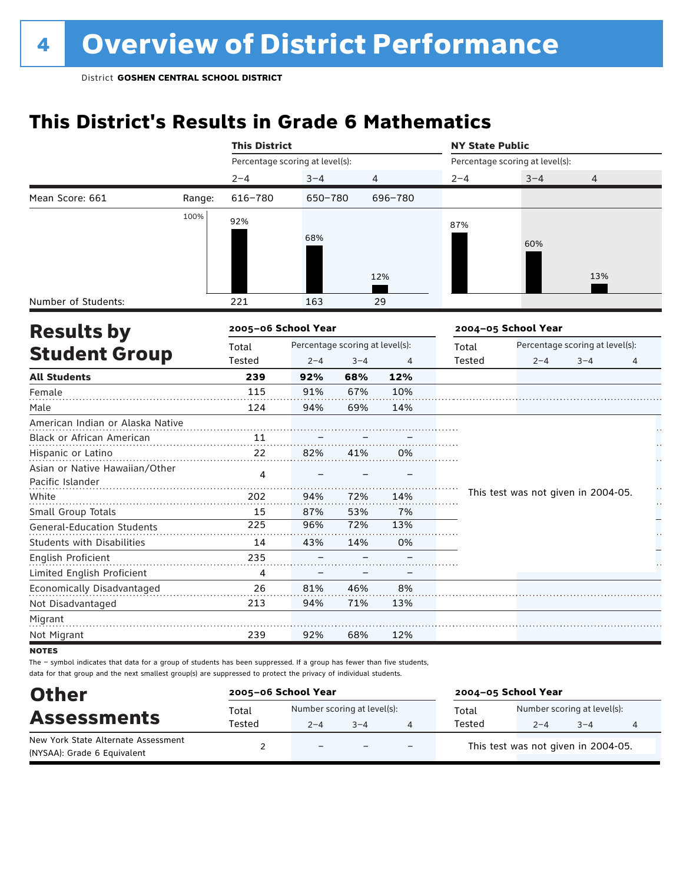## **This District's Results in Grade 6 Mathematics**

|                                   |        | <b>This District</b>                     |         |         |         | <b>NY State Public</b> |                                     |         |    |  |
|-----------------------------------|--------|------------------------------------------|---------|---------|---------|------------------------|-------------------------------------|---------|----|--|
|                                   |        | Percentage scoring at level(s):          |         |         |         |                        | Percentage scoring at level(s):     |         |    |  |
|                                   |        | $2 - 4$                                  | $3 - 4$ | 4       |         | $2 - 4$                | $3 - 4$                             | 4       |    |  |
| Mean Score: 661                   | Range: | 616-780                                  | 650-780 |         | 696-780 |                        |                                     |         |    |  |
|                                   | 100%   | 92%                                      |         |         |         | 87%                    |                                     |         |    |  |
|                                   |        |                                          | 68%     |         |         |                        |                                     |         |    |  |
|                                   |        |                                          |         |         |         |                        | 60%                                 |         |    |  |
|                                   |        |                                          |         |         |         |                        |                                     |         |    |  |
|                                   |        |                                          |         |         | 12%     |                        |                                     | 13%     |    |  |
| Number of Students:               |        | 221                                      | 163     |         | 29      |                        |                                     |         |    |  |
| <b>Results by</b>                 |        | 2005-06 School Year                      |         |         |         |                        | 2004-05 School Year                 |         |    |  |
|                                   |        | Percentage scoring at level(s):<br>Total |         |         | Total   |                        | Percentage scoring at level(s):     |         |    |  |
| <b>Student Group</b>              |        | Tested                                   | $2 - 4$ | $3 - 4$ | 4       | Tested                 | $2 - 4$                             | $3 - 4$ | 4  |  |
| <b>All Students</b>               |        | 239                                      | 92%     | 68%     | 12%     |                        |                                     |         |    |  |
| Female                            |        | 115                                      | 91%     | 67%     | 10%     |                        |                                     |         |    |  |
| Male                              |        | 124                                      | 94%     | 69%     | 14%     |                        |                                     |         |    |  |
| American Indian or Alaska Native  |        |                                          |         |         |         |                        |                                     |         |    |  |
| Black or African American         |        | 11                                       |         |         |         |                        |                                     |         |    |  |
| Hispanic or Latino                |        | 22                                       | 82%     | 41%     | 0%      |                        |                                     |         |    |  |
| Asian or Native Hawaiian/Other    |        | 4                                        |         |         |         |                        |                                     |         |    |  |
| Pacific Islander                  |        |                                          |         |         |         |                        |                                     |         | H  |  |
| White                             |        | 202                                      | 94%     | 72%     | 14%     |                        | This test was not given in 2004-05. |         | Н, |  |
| Small Group Totals                |        | 15                                       | 87%     | 53%     | 7%      |                        |                                     |         |    |  |
| <b>General-Education Students</b> |        | 225                                      | 96%     | 72%     | 13%     |                        |                                     |         |    |  |
| <b>Students with Disabilities</b> |        | 14                                       | 43%     | 14%     | 0%      |                        |                                     |         |    |  |
| English Proficient                |        | 235                                      |         |         |         |                        |                                     |         |    |  |
| Limited English Proficient        |        | 4                                        |         |         |         |                        |                                     |         |    |  |
| Economically Disadvantaged        |        | 26                                       | 81%     | 46%     | 8%      |                        |                                     |         |    |  |
| Not Disadvantaged                 |        | 213                                      | 94%     | 71%     | 13%     |                        |                                     |         |    |  |
| Migrant                           |        |                                          |         |         |         |                        |                                     |         |    |  |
| Not Migrant                       |        | 239                                      | 92%     | 68%     | 12%     |                        |                                     |         |    |  |
| <b>NOTES</b>                      |        |                                          |         |         |         |                        |                                     |         |    |  |

| <b>Other</b>                                                       | 2005-06 School Year |                                        |         |     | 2004-05 School Year |                                        |         |   |  |
|--------------------------------------------------------------------|---------------------|----------------------------------------|---------|-----|---------------------|----------------------------------------|---------|---|--|
| <b>Assessments</b>                                                 | Total<br>Tested     | Number scoring at level(s):<br>$2 - 4$ | $3 - 4$ |     | Total<br>Tested     | Number scoring at level(s):<br>$2 - 4$ | $3 - 4$ | 4 |  |
| New York State Alternate Assessment<br>(NYSAA): Grade 6 Equivalent |                     | $\qquad \qquad -$                      |         | $-$ |                     | This test was not given in 2004-05.    |         |   |  |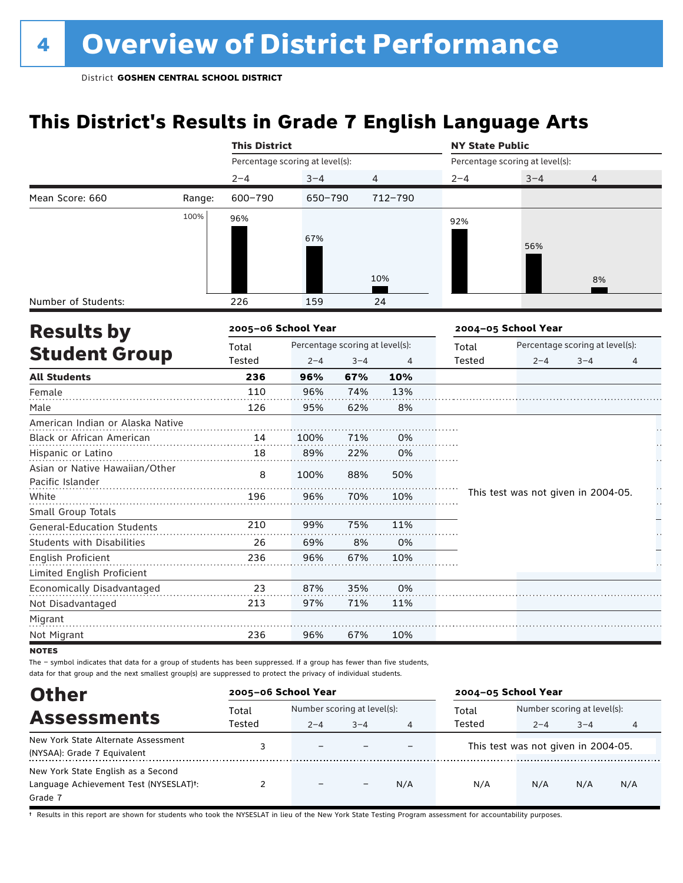## **This District's Results in Grade 7 English Language Arts**

|                                   |        | <b>This District</b>                     |         |         |                | <b>NY State Public</b> |                                     |                                 |    |  |
|-----------------------------------|--------|------------------------------------------|---------|---------|----------------|------------------------|-------------------------------------|---------------------------------|----|--|
|                                   |        | Percentage scoring at level(s):          |         |         |                |                        | Percentage scoring at level(s):     |                                 |    |  |
|                                   |        | $2 - 4$                                  | $3 - 4$ |         | $\overline{4}$ | $2 - 4$                | $3 - 4$                             | 4                               |    |  |
| Mean Score: 660                   | Range: | 600-790                                  | 650-790 |         | 712-790        |                        |                                     |                                 |    |  |
|                                   | 100%   | 96%                                      |         |         |                | 92%                    |                                     |                                 |    |  |
|                                   |        |                                          | 67%     |         |                |                        |                                     |                                 |    |  |
|                                   |        |                                          |         |         |                |                        | 56%                                 |                                 |    |  |
|                                   |        |                                          |         |         |                |                        |                                     |                                 |    |  |
|                                   |        |                                          |         |         | 10%            |                        |                                     | 8%                              |    |  |
| Number of Students:               |        | 226                                      | 159     |         | 24             |                        |                                     |                                 |    |  |
| <b>Results by</b>                 |        | 2005-06 School Year                      |         |         |                |                        | 2004-05 School Year                 |                                 |    |  |
|                                   |        | Percentage scoring at level(s):<br>Total |         |         |                | Total                  |                                     | Percentage scoring at level(s): |    |  |
| <b>Student Group</b>              |        | Tested                                   | $2 - 4$ | $3 - 4$ | 4              | Tested                 | $2 - 4$                             | $3 - 4$                         | 4  |  |
| <b>All Students</b>               |        | 236                                      | 96%     | 67%     | 10%            |                        |                                     |                                 |    |  |
| Female                            |        | 110                                      | 96%     | 74%     | 13%            |                        |                                     |                                 |    |  |
| Male                              |        | 126                                      | 95%     | 62%     | 8%             |                        |                                     |                                 |    |  |
| American Indian or Alaska Native  |        |                                          |         |         |                |                        |                                     |                                 |    |  |
| Black or African American         |        | 14                                       | 100%    | 71%     | 0%             |                        |                                     |                                 |    |  |
| Hispanic or Latino                |        | 18                                       | 89%     | 22%     | 0%             |                        |                                     |                                 |    |  |
| Asian or Native Hawaiian/Other    |        | 8                                        | 100%    | 88%     | 50%            |                        |                                     |                                 |    |  |
| Pacific Islander                  |        |                                          |         |         |                |                        |                                     |                                 | Ì, |  |
| White                             |        | 196                                      | 96%     | 70%     | 10%            |                        | This test was not given in 2004-05. |                                 | ŀ, |  |
| Small Group Totals                |        |                                          |         |         |                |                        |                                     |                                 |    |  |
| <b>General-Education Students</b> |        | 210                                      | 99%     | 75%     | 11%            |                        |                                     |                                 |    |  |
| <b>Students with Disabilities</b> |        | 26                                       | 69%     | 8%      | 0%             |                        |                                     |                                 |    |  |
| <b>English Proficient</b>         |        | 236                                      | 96%     | 67%     | 10%            |                        |                                     |                                 |    |  |
| Limited English Proficient        |        |                                          |         |         |                |                        |                                     |                                 |    |  |
| Economically Disadvantaged        |        | 23                                       | 87%     | 35%     | 0%             |                        |                                     |                                 |    |  |
| Not Disadvantaged                 |        | 213                                      | 97%     | 71%     | 11%            |                        |                                     |                                 |    |  |
| Migrant                           |        |                                          |         |         |                |                        |                                     |                                 |    |  |
| Not Migrant                       |        | 236                                      | 96%     | 67%     | 10%            |                        |                                     |                                 |    |  |
| <b>NOTES</b>                      |        |                                          |         |         |                |                        |                                     |                                 |    |  |

The – symbol indicates that data for a group of students has been suppressed. If a group has fewer than five students,

data for that group and the next smallest group(s) are suppressed to protect the privacy of individual students.

| <b>Other</b>                           | 2005-06 School Year |                             |                   |     | 2004-05 School Year |                                     |         |     |  |
|----------------------------------------|---------------------|-----------------------------|-------------------|-----|---------------------|-------------------------------------|---------|-----|--|
| <b>Assessments</b>                     | Total               | Number scoring at level(s): |                   |     | Total               | Number scoring at level(s):         |         |     |  |
|                                        | Tested              | $2 - 4$                     | $3 - 4$           | 4   | Tested              | $2 - 4$                             | $3 - 4$ | 4   |  |
| New York State Alternate Assessment    |                     |                             |                   |     |                     | This test was not given in 2004-05. |         |     |  |
| (NYSAA): Grade 7 Equivalent            |                     |                             |                   |     |                     |                                     |         |     |  |
| New York State English as a Second     |                     |                             |                   |     |                     |                                     |         |     |  |
| Language Achievement Test (NYSESLAT)t: |                     | $\overline{\phantom{m}}$    | $\qquad \qquad -$ | N/A | N/A                 | N/A                                 | N/A     | N/A |  |
| Grade 7                                |                     |                             |                   |     |                     |                                     |         |     |  |

† Results in this report are shown for students who took the NYSESLAT in lieu of the New York State Testing Program assessment for accountability purposes.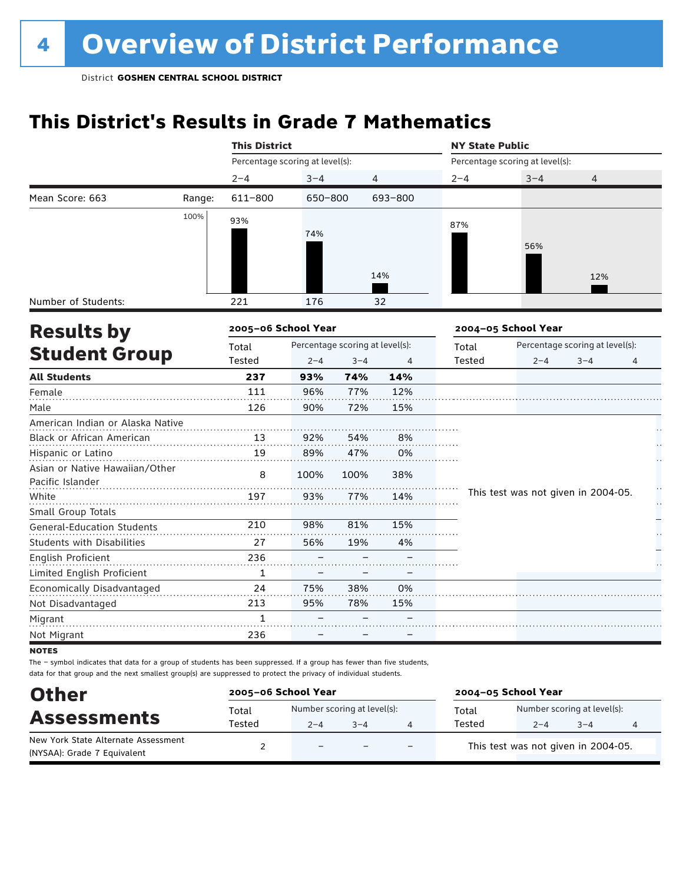## **This District's Results in Grade 7 Mathematics**

|                                   |        | <b>This District</b>            |         |                                 |                | <b>NY State Public</b> |                                     |                                 |   |  |
|-----------------------------------|--------|---------------------------------|---------|---------------------------------|----------------|------------------------|-------------------------------------|---------------------------------|---|--|
|                                   |        | Percentage scoring at level(s): |         |                                 |                |                        | Percentage scoring at level(s):     |                                 |   |  |
|                                   |        | $2 - 4$                         | $3 - 4$ |                                 | $\overline{4}$ | $2 - 4$                | $3 - 4$                             | $\overline{4}$                  |   |  |
| Mean Score: 663                   | Range: | 611-800                         | 650-800 |                                 | 693-800        |                        |                                     |                                 |   |  |
|                                   | 100%   | 93%                             |         |                                 |                |                        |                                     |                                 |   |  |
|                                   |        |                                 | 74%     |                                 |                | 87%                    |                                     |                                 |   |  |
|                                   |        |                                 |         |                                 |                |                        | 56%                                 |                                 |   |  |
|                                   |        |                                 |         |                                 |                |                        |                                     |                                 |   |  |
|                                   |        |                                 |         |                                 | 14%            |                        |                                     | 12%                             |   |  |
| Number of Students:               |        | 221                             | 176     |                                 | 32             |                        |                                     |                                 |   |  |
|                                   |        | 2005-06 School Year             |         |                                 |                |                        |                                     |                                 |   |  |
| <b>Results by</b>                 |        |                                 |         |                                 |                |                        | 2004-05 School Year                 |                                 |   |  |
| <b>Student Group</b>              |        | Total<br>Tested                 |         | Percentage scoring at level(s): |                | Total<br>Tested        |                                     | Percentage scoring at level(s): |   |  |
|                                   |        |                                 | $2 - 4$ | $3 - 4$                         | 4              |                        | $2 - 4$                             | $3 - 4$                         | 4 |  |
| <b>All Students</b>               |        | 237                             | 93%     | 74%                             | 14%            |                        |                                     |                                 |   |  |
| Female                            |        | 111                             | 96%     | 77%                             | 12%            |                        |                                     |                                 |   |  |
| Male                              |        | 126                             | 90%     | 72%                             | 15%            |                        |                                     |                                 |   |  |
| American Indian or Alaska Native  |        |                                 |         |                                 |                |                        |                                     |                                 |   |  |
| <b>Black or African American</b>  |        | 13                              | 92%     | 54%                             | 8%             |                        |                                     |                                 |   |  |
| Hispanic or Latino                |        | 19                              | 89%     | 47%                             | 0%             |                        |                                     |                                 |   |  |
| Asian or Native Hawaiian/Other    |        | 8                               | 100%    | 100%                            | 38%            |                        |                                     |                                 |   |  |
| Pacific Islander                  |        |                                 |         |                                 |                |                        | This test was not given in 2004-05. |                                 |   |  |
| White                             |        | 197                             | 93%     | 77%                             | 14%            |                        |                                     |                                 | H |  |
| Small Group Totals                |        | 210                             | 98%     | 81%                             | 15%            |                        |                                     |                                 |   |  |
| <b>General-Education Students</b> |        |                                 |         |                                 |                |                        |                                     |                                 |   |  |
| <b>Students with Disabilities</b> |        | 27                              | 56%     | 19%                             | 4%             |                        |                                     |                                 |   |  |
| English Proficient                |        | 236                             |         |                                 |                |                        |                                     |                                 |   |  |
| Limited English Proficient        |        | $\mathbf{1}$                    |         |                                 |                |                        |                                     |                                 |   |  |
| Economically Disadvantaged        |        | 24                              | 75%     | 38%                             | 0%             |                        |                                     |                                 |   |  |
| Not Disadvantaged                 |        | 213                             | 95%     | 78%                             | 15%            |                        |                                     |                                 |   |  |
| Migrant                           |        | $\mathbf{1}$                    |         |                                 |                |                        |                                     |                                 |   |  |
| Not Migrant                       |        | 236                             |         |                                 |                |                        |                                     |                                 |   |  |

**NOTES** 

| <b>Other</b>                                              | 2005-06 School Year |                             |         | 2004-05 School Year      |        |                                     |         |  |
|-----------------------------------------------------------|---------------------|-----------------------------|---------|--------------------------|--------|-------------------------------------|---------|--|
| <b>Assessments</b><br>New York State Alternate Assessment | Total               | Number scoring at level(s): |         |                          | Total  | Number scoring at level(s):         |         |  |
|                                                           | Tested              | $2 - 4$                     | $3 - 4$ |                          | Tested | $2 - 4$                             | $3 - 4$ |  |
| (NYSAA): Grade 7 Equivalent                               |                     | $\overline{\phantom{a}}$    |         | $\overline{\phantom{0}}$ |        | This test was not given in 2004-05. |         |  |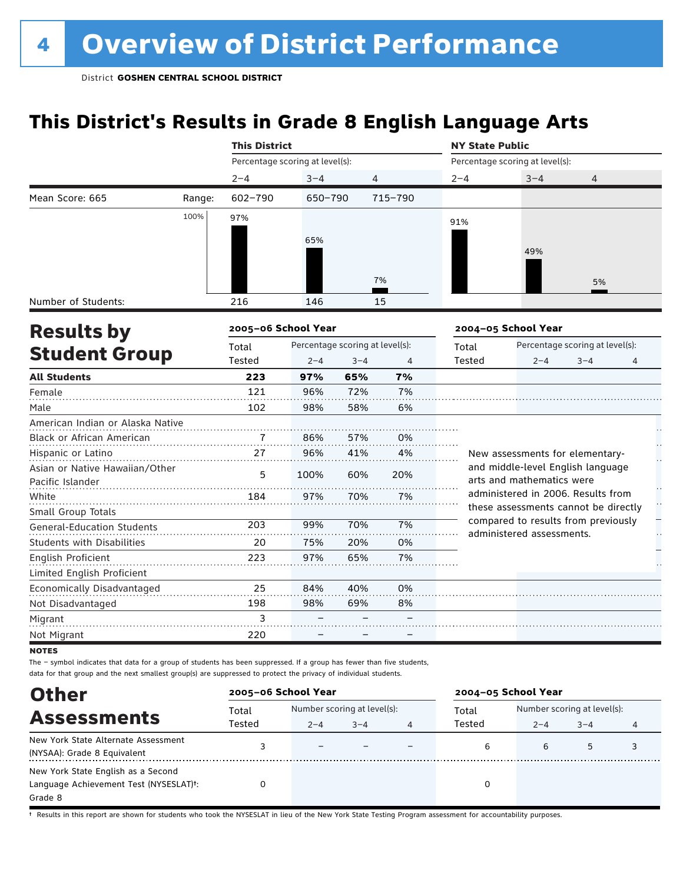## **This District's Results in Grade 8 English Language Arts**

|                                           |        | <b>This District</b>            |                                 |         |         | <b>NY State Public</b> |                                                                             |                                 |   |  |
|-------------------------------------------|--------|---------------------------------|---------------------------------|---------|---------|------------------------|-----------------------------------------------------------------------------|---------------------------------|---|--|
|                                           |        | Percentage scoring at level(s): |                                 |         |         |                        | Percentage scoring at level(s):                                             |                                 |   |  |
|                                           |        | $2 - 4$                         | $3 - 4$                         |         | 4       | $2 - 4$                | $3 - 4$                                                                     | 4                               |   |  |
| Mean Score: 665                           | Range: | $602 - 790$                     | 650-790                         |         | 715-790 |                        |                                                                             |                                 |   |  |
|                                           | 100%   | 97%                             |                                 |         |         | 91%                    |                                                                             |                                 |   |  |
|                                           |        |                                 |                                 |         |         |                        |                                                                             |                                 |   |  |
|                                           |        |                                 | 65%                             |         |         |                        | 49%                                                                         |                                 |   |  |
|                                           |        |                                 |                                 |         |         |                        |                                                                             |                                 |   |  |
|                                           |        |                                 |                                 |         | 7%      |                        |                                                                             | 5%                              |   |  |
| Number of Students:                       |        | 216                             | 146                             |         | 15      |                        |                                                                             |                                 |   |  |
|                                           |        |                                 |                                 |         |         |                        |                                                                             |                                 |   |  |
| <b>Results by</b><br><b>Student Group</b> |        | 2005-06 School Year             |                                 |         |         |                        | 2004-05 School Year                                                         |                                 |   |  |
|                                           |        | Total                           | Percentage scoring at level(s): |         |         | Total                  |                                                                             | Percentage scoring at level(s): |   |  |
|                                           |        | Tested                          | $2 - 4$                         | $3 - 4$ | 4       | Tested                 | $2 - 4$                                                                     | $3 - 4$                         | 4 |  |
| <b>All Students</b>                       |        | 223                             | 97%                             | 65%     | 7%      |                        |                                                                             |                                 |   |  |
| Female                                    |        | 121                             | 96%                             | 72%     | 7%      |                        |                                                                             |                                 |   |  |
| Male                                      |        | 102                             | 98%                             | 58%     | 6%      |                        |                                                                             |                                 |   |  |
| American Indian or Alaska Native          |        |                                 |                                 |         |         |                        |                                                                             |                                 |   |  |
| <b>Black or African American</b>          |        |                                 | 86%                             | 57%     | 0%      |                        |                                                                             |                                 |   |  |
| Hispanic or Latino                        |        | 27                              | 96%                             | 41%     | 4%      |                        | New assessments for elementary-                                             |                                 |   |  |
| Asian or Native Hawaiian/Other            |        | 5                               | 100%                            | 60%     | 20%     |                        | and middle-level English language                                           |                                 |   |  |
| Pacific Islander                          |        |                                 |                                 |         |         |                        | arts and mathematics were                                                   |                                 |   |  |
| White                                     |        | 184                             | 97%                             | 70%     | 7%      |                        | administered in 2006. Results from                                          |                                 |   |  |
| Small Group Totals                        |        |                                 |                                 |         |         |                        | these assessments cannot be directly<br>compared to results from previously |                                 |   |  |
| <b>General-Education Students</b>         |        | 203                             | 99%                             | 70%     | 7%      |                        | administered assessments.                                                   |                                 |   |  |
| <b>Students with Disabilities</b>         |        | 20                              | 75%                             | 20%     | 0%      |                        |                                                                             |                                 |   |  |
| <b>English Proficient</b>                 |        | 223                             | 97%                             | 65%     | 7%      |                        |                                                                             |                                 |   |  |
| Limited English Proficient                |        |                                 |                                 |         |         |                        |                                                                             |                                 |   |  |
| Economically Disadvantaged                |        | 25                              | 84%                             | 40%     | 0%      |                        |                                                                             |                                 |   |  |
| Not Disadvantaged                         |        | 198                             | 98%                             | 69%     | 8%      |                        |                                                                             |                                 |   |  |
| Migrant                                   |        | 3                               |                                 |         |         |                        |                                                                             |                                 |   |  |
| Not Migrant                               |        | 220                             |                                 |         |         |                        |                                                                             |                                 |   |  |

**NOTES** 

The – symbol indicates that data for a group of students has been suppressed. If a group has fewer than five students, data for that group and the next smallest group(s) are suppressed to protect the privacy of individual students.

| <b>Other</b>                                                                                         | 2005-06 School Year |                          |                                        | 2004-05 School Year |         |                                        |   |  |
|------------------------------------------------------------------------------------------------------|---------------------|--------------------------|----------------------------------------|---------------------|---------|----------------------------------------|---|--|
| <b>Assessments</b>                                                                                   | Total<br>Tested     | $2 - 4$                  | Number scoring at level(s):<br>$3 - 4$ | Total<br>Tested     | $2 - 4$ | Number scoring at level(s):<br>$3 - 4$ | 4 |  |
| New York State Alternate Assessment<br>(NYSAA): Grade 8 Equivalent                                   |                     | $\overline{\phantom{0}}$ |                                        | 6                   | 6       | 5                                      |   |  |
| New York State English as a Second<br>Language Achievement Test (NYSESLAT) <sup>+</sup> :<br>Grade 8 |                     |                          |                                        |                     |         |                                        |   |  |

† Results in this report are shown for students who took the NYSESLAT in lieu of the New York State Testing Program assessment for accountability purposes.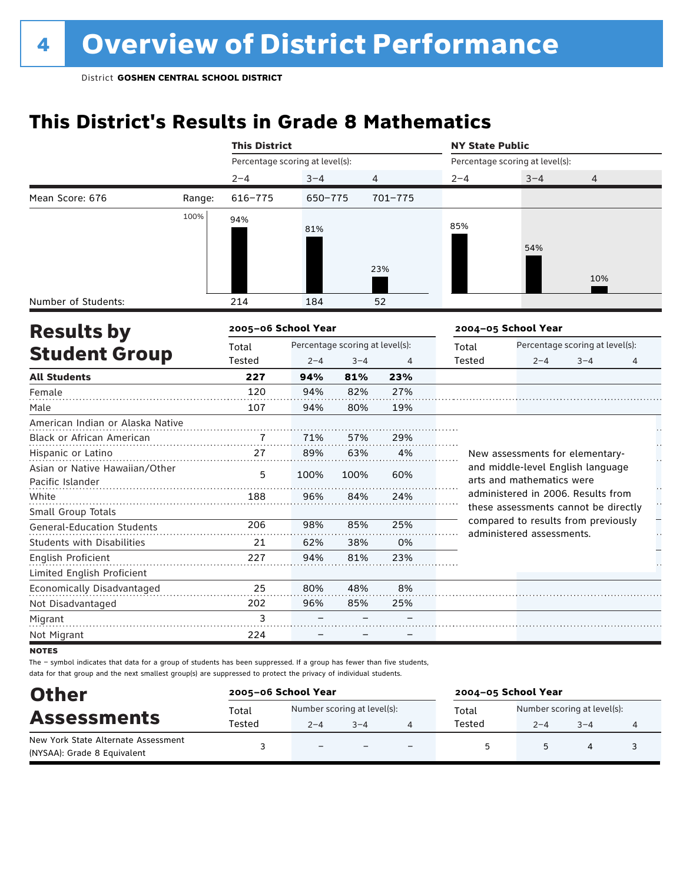## **This District's Results in Grade 8 Mathematics**

|                                   |        | <b>This District</b>            |         |                                 |             | <b>NY State Public</b> |                                                                 |                                 |   |  |
|-----------------------------------|--------|---------------------------------|---------|---------------------------------|-------------|------------------------|-----------------------------------------------------------------|---------------------------------|---|--|
|                                   |        | Percentage scoring at level(s): |         |                                 |             |                        | Percentage scoring at level(s):                                 |                                 |   |  |
|                                   |        | $2 - 4$                         | $3 - 4$ |                                 | 4           | $2 - 4$                | $3 - 4$                                                         | 4                               |   |  |
| Mean Score: 676                   | Range: | $616 - 775$                     | 650-775 |                                 | $701 - 775$ |                        |                                                                 |                                 |   |  |
|                                   | 100%   | 94%                             |         |                                 |             |                        |                                                                 |                                 |   |  |
|                                   |        |                                 | 81%     |                                 |             | 85%                    |                                                                 |                                 |   |  |
|                                   |        |                                 |         |                                 |             |                        | 54%                                                             |                                 |   |  |
|                                   |        |                                 |         |                                 | 23%         |                        |                                                                 |                                 |   |  |
|                                   |        |                                 |         |                                 |             |                        |                                                                 | 10%                             |   |  |
| Number of Students:               |        | 214                             | 184     |                                 | 52          |                        |                                                                 |                                 |   |  |
|                                   |        |                                 |         |                                 |             |                        |                                                                 |                                 |   |  |
| <b>Results by</b>                 |        | 2005-06 School Year             |         |                                 |             |                        | 2004-05 School Year                                             |                                 |   |  |
| <b>Student Group</b>              |        | Total                           |         | Percentage scoring at level(s): |             | Total                  |                                                                 | Percentage scoring at level(s): |   |  |
|                                   |        | Tested                          | $2 - 4$ | $3 - 4$                         | 4           | Tested                 | $2 - 4$                                                         | $3 - 4$                         | 4 |  |
| <b>All Students</b>               |        | 227                             | 94%     | 81%                             | 23%         |                        |                                                                 |                                 |   |  |
| Female                            |        | 120                             | 94%     | 82%                             | 27%         |                        |                                                                 |                                 |   |  |
| Male                              |        | 107                             | 94%     | 80%                             | 19%         |                        |                                                                 |                                 |   |  |
| American Indian or Alaska Native  |        |                                 |         |                                 |             |                        |                                                                 |                                 |   |  |
| Black or African American         |        | 7                               | 71%     | 57%                             | 29%         |                        |                                                                 |                                 |   |  |
| Hispanic or Latino                |        | 27                              | 89%     | 63%                             | 4%          |                        | New assessments for elementary-                                 |                                 |   |  |
| Asian or Native Hawaiian/Other    |        | 5                               | 100%    | 100%                            | 60%         |                        | and middle-level English language                               |                                 |   |  |
| Pacific Islander                  |        |                                 |         |                                 |             |                        | arts and mathematics were<br>administered in 2006. Results from |                                 |   |  |
| White                             |        | 188                             | 96%     | 84%                             | 24%         |                        | these assessments cannot be directly                            |                                 | H |  |
| Small Group Totals                |        |                                 |         |                                 |             |                        | compared to results from previously                             |                                 |   |  |
| <b>General-Education Students</b> |        | 206                             | 98%     | 85%                             | 25%         |                        | administered assessments.                                       |                                 |   |  |
| <b>Students with Disabilities</b> |        | 21                              | 62%     | 38%                             | 0%          |                        |                                                                 |                                 |   |  |
| English Proficient                |        | 227                             | 94%     | 81%                             | 23%         |                        |                                                                 |                                 |   |  |
| Limited English Proficient        |        |                                 |         |                                 |             |                        |                                                                 |                                 |   |  |
| Economically Disadvantaged        |        | 25                              | 80%     | 48%                             | 8%          |                        |                                                                 |                                 |   |  |
| Not Disadvantaged                 |        | 202                             | 96%     | 85%                             | 25%         |                        |                                                                 |                                 |   |  |
| Migrant                           |        | 3                               |         |                                 |             |                        |                                                                 |                                 |   |  |
| Not Migrant                       |        | 224                             |         |                                 |             |                        |                                                                 |                                 |   |  |

**NOTES** 

| <b>Other</b>                                                       |                 | 2005-06 School Year                    |         | 2004-05 School Year      |                 |         |                                        |  |
|--------------------------------------------------------------------|-----------------|----------------------------------------|---------|--------------------------|-----------------|---------|----------------------------------------|--|
| <b>Assessments</b>                                                 | Total<br>Tested | Number scoring at level(s):<br>$2 - 4$ | $3 - 4$ |                          | Total<br>Tested | $2 - 4$ | Number scoring at level(s):<br>$3 - 4$ |  |
| New York State Alternate Assessment<br>(NYSAA): Grade 8 Equivalent |                 | $\equiv$                               |         | $\overline{\phantom{0}}$ | $\sim$          |         |                                        |  |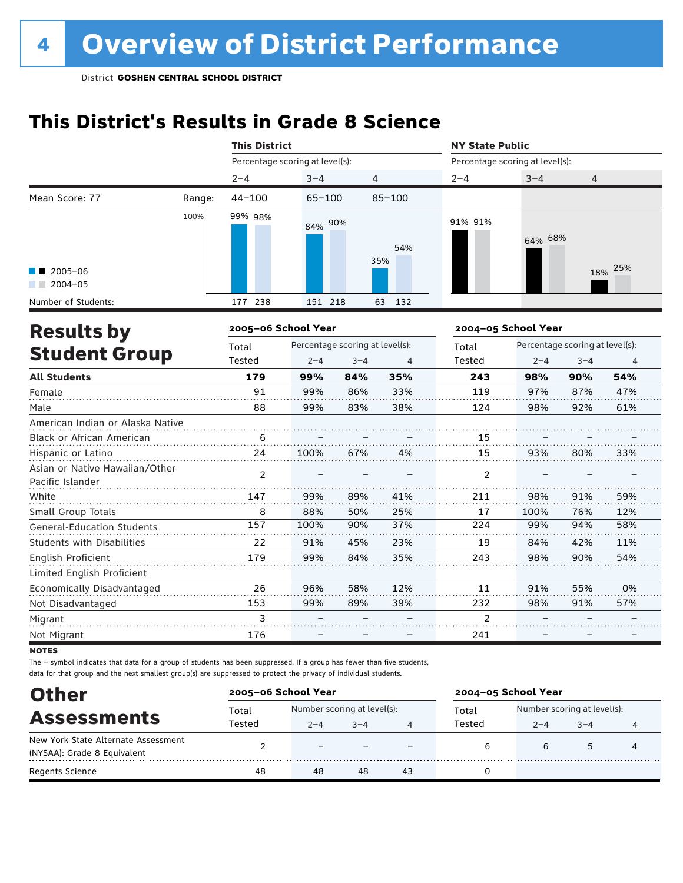## **This District's Results in Grade 8 Science**

|                                                    |        | <b>This District</b>            |                                 |                |            | <b>NY State Public</b>          |                     |                                 |         |
|----------------------------------------------------|--------|---------------------------------|---------------------------------|----------------|------------|---------------------------------|---------------------|---------------------------------|---------|
|                                                    |        | Percentage scoring at level(s): |                                 |                |            | Percentage scoring at level(s): |                     |                                 |         |
|                                                    |        | $2 - 4$                         | $3 - 4$                         | $\overline{4}$ |            | $2 - 4$                         | $3 - 4$             | 4                               |         |
| Mean Score: 77                                     | Range: | $44 - 100$                      | $65 - 100$                      |                | $85 - 100$ |                                 |                     |                                 |         |
|                                                    | 100%   | 99% 98%                         | 84% 90%                         |                | 54%<br>35% | 91% 91%                         | 64% 68%             |                                 |         |
| $\blacksquare$ 2005-06<br>$2004 - 05$              |        |                                 |                                 |                |            |                                 |                     |                                 | 18% 25% |
| Number of Students:                                |        | 177 238                         | 151 218                         |                | 63 132     |                                 |                     |                                 |         |
| <b>Results by</b>                                  |        | 2005-06 School Year             |                                 |                |            |                                 | 2004-05 School Year |                                 |         |
|                                                    |        | Total                           | Percentage scoring at level(s): |                |            | Total                           |                     | Percentage scoring at level(s): |         |
| <b>Student Group</b>                               |        | Tested                          | $2 - 4$                         | $3 - 4$        | 4          | Tested                          | $2 - 4$             | $3 - 4$                         | 4       |
| <b>All Students</b>                                |        | 179                             | 99%                             | 84%            | 35%        | 243                             | 98%                 | 90%                             | 54%     |
| Female                                             |        | 91                              | 99%                             | 86%            | 33%        | 119                             | 97%                 | 87%                             | 47%     |
| Male                                               |        | 88                              | 99%                             | 83%            | 38%        | 124                             | 98%                 | 92%                             | 61%     |
| American Indian or Alaska Native                   |        |                                 |                                 |                |            |                                 |                     |                                 |         |
| Black or African American                          |        | 6                               |                                 |                |            | 15                              |                     |                                 |         |
| Hispanic or Latino                                 |        | 24                              | 100%                            | 67%            | 4%         | 15                              | 93%                 | 80%                             | 33%     |
| Asian or Native Hawaiian/Other<br>Pacific Islander |        | $\overline{2}$                  |                                 |                |            | $\overline{2}$                  |                     |                                 |         |
| White                                              |        | 147                             | 99%                             | 89%            | 41%        | 211                             | 98%                 | 91%                             | 59%     |
| Small Group Totals                                 |        | 8                               | 88%                             | 50%            | 25%        | 17                              | 100%                | 76%                             | 12%     |
| <b>General-Education Students</b>                  |        | 157                             | 100%                            | 90%            | 37%        | 224                             | 99%                 | 94%                             | 58%     |
| <b>Students with Disabilities</b>                  |        | 22                              | 91%                             | 45%            | 23%        | 19                              | 84%                 | 42%                             | 11%     |
| English Proficient                                 |        | 179                             | 99%                             | 84%            | 35%        | 243                             | 98%                 | 90%                             | 54%     |
| Limited English Proficient                         |        |                                 |                                 |                |            |                                 |                     |                                 |         |
| Economically Disadvantaged                         |        | 26                              | 96%                             | 58%            | 12%        | 11                              | 91%                 | 55%                             | 0%      |
| Not Disadvantaged                                  |        | 153                             | 99%                             | 89%            | 39%        | 232                             | 98%                 | 91%                             | 57%     |
| Migrant                                            |        | 3                               |                                 |                |            | $\overline{2}$                  |                     |                                 |         |
| Not Migrant                                        |        | 176                             |                                 |                |            | 241                             |                     |                                 |         |

**NOTES** 

| <b>Other</b>                        | 2005-06 School Year |                             |         |    | 2004-05 School Year |                             |        |   |
|-------------------------------------|---------------------|-----------------------------|---------|----|---------------------|-----------------------------|--------|---|
|                                     | Total               | Number scoring at level(s): |         |    | Total               | Number scoring at level(s): |        |   |
| <b>Assessments</b>                  | Tested              | $2 - 4$                     | $3 - 4$ | 4  | Tested              | $2 - 4$                     | $-3-4$ | 4 |
| New York State Alternate Assessment |                     | $\overline{\phantom{0}}$    |         |    |                     |                             | 5      |   |
| (NYSAA): Grade 8 Equivalent         |                     |                             |         |    |                     |                             |        |   |
| <b>Regents Science</b>              | 48                  | 48                          | 48      | 43 |                     |                             |        |   |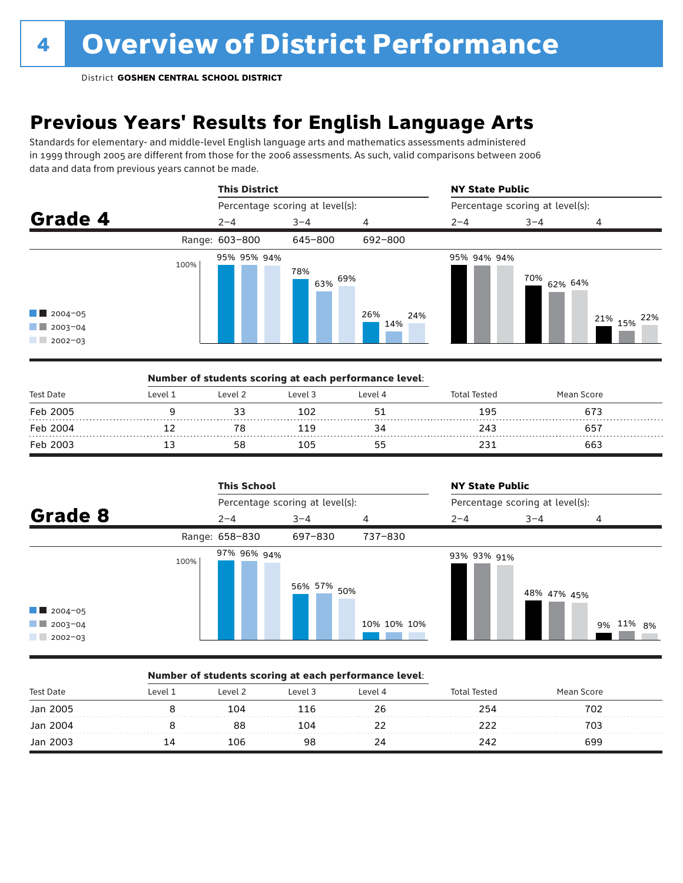## **Previous Years' Results for English Language Arts**

Standards for elementary- and middle-level English language arts and mathematics assessments administered in 1999 through 2005 are different from those for the 2006 assessments. As such, valid comparisons between 2006 data and data from previous years cannot be made.



|                  |         | Number of students scoring at each performance level: |         |         |              |            |  |
|------------------|---------|-------------------------------------------------------|---------|---------|--------------|------------|--|
| <b>Test Date</b> | Level 1 | Level 2                                               | Level 3 | Level 4 | Total Tested | Mean Score |  |
| Feb 2005         |         |                                                       | 102     |         | 195          | 673        |  |
| Feb 2004         |         |                                                       | 119     |         | 243          | 657        |  |
| Feb 2003         |         |                                                       | 105     |         |              | 663        |  |



### Number of students scoring at each performance level:

| <b>Test Date</b> | Level 1 | Level 2 | Level 3 | Level 4 | <b>Total Tested</b> | Mean Score |  |
|------------------|---------|---------|---------|---------|---------------------|------------|--|
| Jan 2005         |         | 104     | 116     | 26      | 254                 | 702        |  |
| Jan 2004         |         | 88      | 104     |         |                     | 703        |  |
| Jan 2003         |         | 106     | 98      | 24      | 242                 | 699        |  |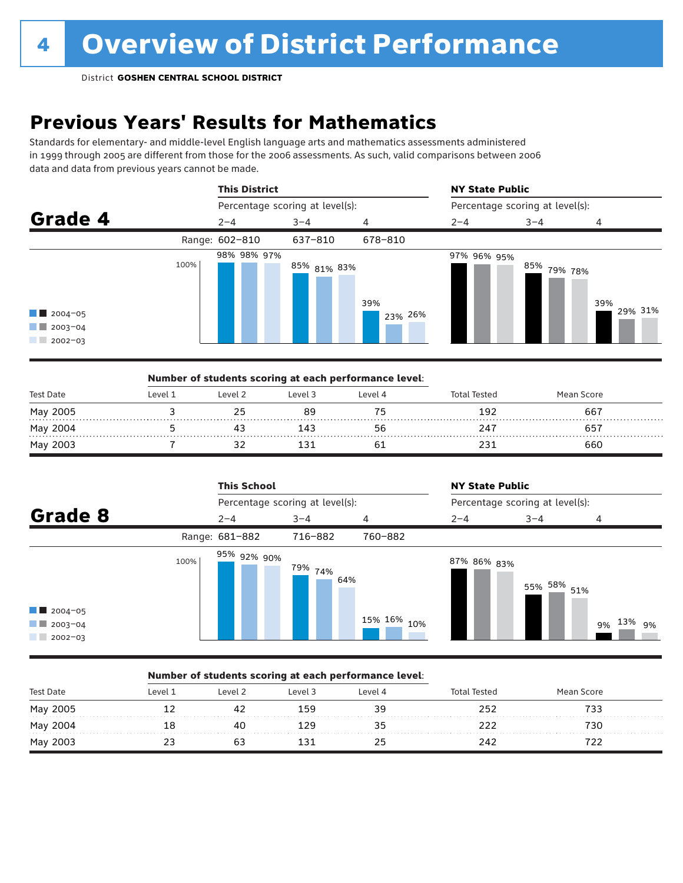## **Previous Years' Results for Mathematics**

Standards for elementary- and middle-level English language arts and mathematics assessments administered in 1999 through 2005 are different from those for the 2006 assessments. As such, valid comparisons between 2006 data and data from previous years cannot be made.



|                  |         |         | Number of students scoring at each performance level: |         |                     |            |  |
|------------------|---------|---------|-------------------------------------------------------|---------|---------------------|------------|--|
| <b>Test Date</b> | Level 1 | Level 2 | Level 3                                               | Level 4 | <b>Total Tested</b> | Mean Score |  |
| May 2005         |         |         |                                                       | 75      | 192                 | 667        |  |
| May 2004         |         |         | 141                                                   | 56      | 247                 | 657        |  |
| May 2003         |         |         |                                                       |         |                     | 660        |  |

|                                                                 |      | <b>This School</b> |                                 |             | <b>NY State Public</b> |                                 |              |  |
|-----------------------------------------------------------------|------|--------------------|---------------------------------|-------------|------------------------|---------------------------------|--------------|--|
|                                                                 |      |                    | Percentage scoring at level(s): |             |                        | Percentage scoring at level(s): |              |  |
| Grade 8                                                         |      | $2 - 4$            | $3 - 4$                         | 4           | $2 - 4$                | $3 - 4$                         | 4            |  |
|                                                                 |      | Range: 681-882     | 716-882                         | 760-882     |                        |                                 |              |  |
| $\blacksquare$ 2004-05<br>$\blacksquare$ 2003-04<br>$2002 - 03$ | 100% | 95% 92% 90%        | <sup>79%</sup> 74%<br>64%       | 15% 16% 10% | 87% 86% <sub>83%</sub> | 55% 58% 51%                     | 9% 13%<br>9% |  |

### Number of students scoring at each performance level:

| <b>Test Date</b> | evel 1 | Level 2 | Level 3 | Level 4 | <b>Total Tested</b> | Mean Score |  |
|------------------|--------|---------|---------|---------|---------------------|------------|--|
| May 2005         |        |         | 159     | 39      | つらつ                 |            |  |
| May 2004         |        | 40      | 20 ا    |         |                     | 730        |  |
| May 2003         | . .    |         |         | 25      | 242                 |            |  |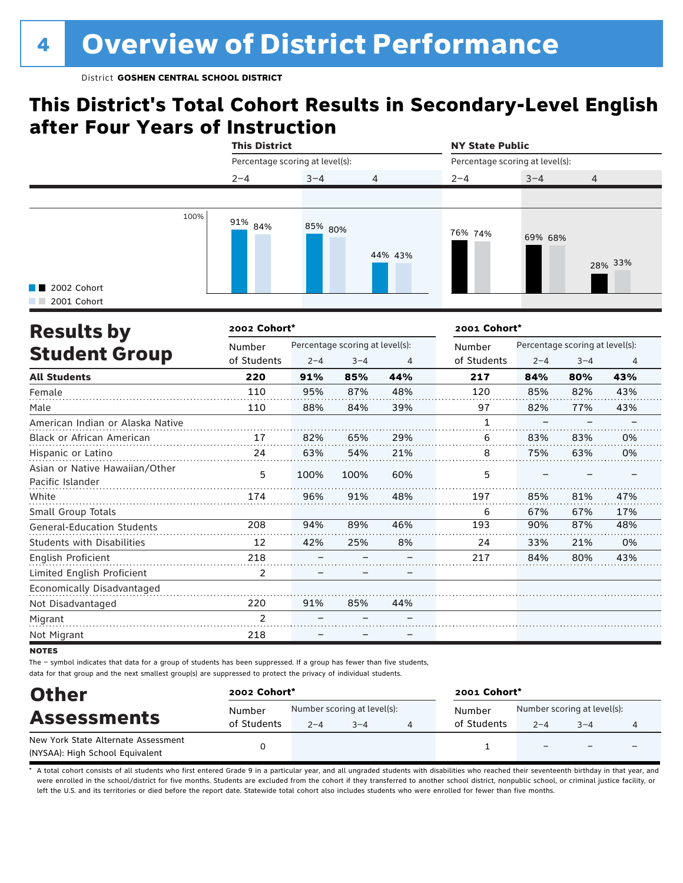## **This District's Total Cohort Results in Secondary-Level English after Four Years of Instruction**



| <b>Results by</b>                                  | 2002 Cohort*   |         |                                 |     | 2001 Cohort* |         |                                 |     |
|----------------------------------------------------|----------------|---------|---------------------------------|-----|--------------|---------|---------------------------------|-----|
|                                                    | Number         |         | Percentage scoring at level(s): |     | Number       |         | Percentage scoring at level(s): |     |
| <b>Student Group</b>                               | of Students    | $2 - 4$ | $3 - 4$                         | 4   | of Students  | $2 - 4$ | $3 - 4$                         | 4   |
| <b>All Students</b>                                | 220            | 91%     | 85%                             | 44% | 217          | 84%     | 80%                             | 43% |
| Female                                             | 110            | 95%     | 87%                             | 48% | 120          | 85%     | 82%                             | 43% |
| Male                                               | 110            | 88%     | 84%                             | 39% | 97           | 82%     | 77%                             | 43% |
| American Indian or Alaska Native                   |                |         |                                 |     |              |         |                                 |     |
| <b>Black or African American</b>                   | 17             | 82%     | 65%                             | 29% | 6            | 83%     | 83%                             | 0%  |
| Hispanic or Latino                                 | 24             | 63%     | 54%                             | 21% | 8            | 75%     | 63%                             | 0%  |
| Asian or Native Hawaiian/Other<br>Pacific Islander | 5              | 100%    | 100%                            | 60% | 5            |         |                                 |     |
| White                                              | 174            | 96%     | 91%                             | 48% | 197          | 85%     | 81%                             | 47% |
| Small Group Totals                                 |                |         |                                 |     | 6            | 67%     | 67%                             | 17% |
| <b>General-Education Students</b>                  | 208            | 94%     | 89%                             | 46% | 193          | 90%     | 87%                             | 48% |
| <b>Students with Disabilities</b>                  | 12             | 42%     | 25%                             | 8%  | 24           | 33%     | 21%                             | 0%  |
| <b>English Proficient</b>                          | 218            |         |                                 |     | 217          | 84%     | 80%                             | 43% |
| Limited English Proficient                         | 2              |         |                                 |     |              |         |                                 |     |
| Economically Disadvantaged                         |                |         |                                 |     |              |         |                                 |     |
| Not Disadvantaged                                  | 220            | 91%     | 85%                             | 44% |              |         |                                 |     |
| Migrant                                            | $\mathfrak{p}$ |         |                                 |     |              |         |                                 |     |
| Not Migrant                                        | 218            |         |                                 |     |              |         |                                 |     |

**NOTES** 

The – symbol indicates that data for a group of students has been suppressed. If a group has fewer than five students, data for that group and the next smallest group(s) are suppressed to protect the privacy of individual students.

| <b>Other</b>                                                           | 2002 Cohort*          |         |                                        | 2001 Cohort*          |         |                                        |  |  |
|------------------------------------------------------------------------|-----------------------|---------|----------------------------------------|-----------------------|---------|----------------------------------------|--|--|
| <b>Assessments</b>                                                     | Number<br>of Students | $2 - 4$ | Number scoring at level(s):<br>$3 - 4$ | Number<br>of Students | $2 - 4$ | Number scoring at level(s):<br>$3 - 4$ |  |  |
| New York State Alternate Assessment<br>(NYSAA): High School Equivalent |                       |         |                                        |                       |         | $\overline{\phantom{0}}$               |  |  |

A total cohort consists of all students who first entered Grade 9 in a particular year, and all ungraded students with disabilities who reached their seventeenth birthday in that year, and were enrolled in the school/district for five months. Students are excluded from the cohort if they transferred to another school district, nonpublic school, or criminal justice facility, or left the U.S. and its territories or died before the report date. Statewide total cohort also includes students who were enrolled for fewer than five months.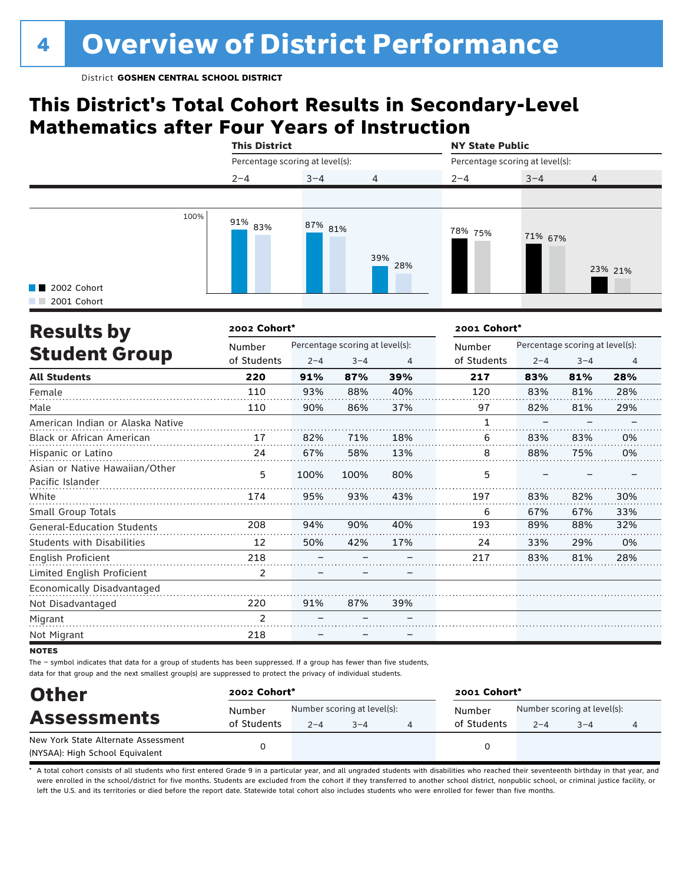### **This District's Total Cohort Results in Secondary-Level Mathematics after Four Years of Instruction**

|                            |      | <b>This District</b>            |         |                | <b>NY State Public</b><br>Percentage scoring at level(s): |         |                |  |
|----------------------------|------|---------------------------------|---------|----------------|-----------------------------------------------------------|---------|----------------|--|
|                            |      | Percentage scoring at level(s): |         |                |                                                           |         |                |  |
|                            |      | $2 - 4$                         | $3 - 4$ | $\overline{4}$ | $2 - 4$                                                   | $3 - 4$ | $\overline{4}$ |  |
|                            |      |                                 |         |                |                                                           |         |                |  |
| 2002 Cohort<br>2001 Cohort | 100% | $91\%$ 83%                      | 87% 81% | 39%<br>28%     | 78% 75%                                                   | 71% 67% | 23% 21%        |  |

| <b>Results by</b>                                  | 2002 Cohort*   |         |                                 |     | 2001 Cohort* |         |                                 |                |  |
|----------------------------------------------------|----------------|---------|---------------------------------|-----|--------------|---------|---------------------------------|----------------|--|
|                                                    | Number         |         | Percentage scoring at level(s): |     | Number       |         | Percentage scoring at level(s): |                |  |
| <b>Student Group</b>                               | of Students    | $2 - 4$ | $3 - 4$                         | 4   | of Students  | $2 - 4$ | $3 - 4$                         | $\overline{4}$ |  |
| <b>All Students</b>                                | 220            | 91%     | 87%                             | 39% | 217          | 83%     | 81%                             | 28%            |  |
| Female                                             | 110            | 93%     | 88%                             | 40% | 120          | 83%     | 81%                             | 28%            |  |
| Male                                               | 110            | 90%     | 86%                             | 37% | 97           | 82%     | 81%                             | 29%            |  |
| American Indian or Alaska Native                   |                |         |                                 |     | 1            |         |                                 |                |  |
| Black or African American                          | 17             | 82%     | 71%                             | 18% | 6            | 83%     | 83%                             | 0%             |  |
| Hispanic or Latino                                 | 24             | 67%     | 58%                             | 13% | 8            | 88%     | 75%                             | 0%             |  |
| Asian or Native Hawaiian/Other<br>Pacific Islander | 5              | 100%    | 100%                            | 80% | 5            |         |                                 |                |  |
| White                                              | 174            | 95%     | 93%                             | 43% | 197          | 83%     | 82%                             | 30%            |  |
| Small Group Totals                                 |                |         |                                 |     | 6            | 67%     | 67%                             | 33%            |  |
| <b>General-Education Students</b>                  | 208            | 94%     | 90%                             | 40% | 193          | 89%     | 88%                             | 32%            |  |
| <b>Students with Disabilities</b>                  | 12             | 50%     | 42%                             | 17% | 24           | 33%     | 29%                             | 0%             |  |
| English Proficient                                 | 218            |         |                                 |     | 217          | 83%     | 81%                             | 28%            |  |
| Limited English Proficient                         | 2              |         |                                 |     |              |         |                                 |                |  |
| Economically Disadvantaged                         |                |         |                                 |     |              |         |                                 |                |  |
| Not Disadvantaged                                  | 220            | 91%     | 87%                             | 39% |              |         |                                 |                |  |
| Migrant                                            | $\mathfrak{p}$ |         |                                 |     |              |         |                                 |                |  |
| Not Migrant                                        | 218            |         |                                 |     |              |         |                                 |                |  |

**NOTES** 

The – symbol indicates that data for a group of students has been suppressed. If a group has fewer than five students, data for that group and the next smallest group(s) are suppressed to protect the privacy of individual students.

| <b>Other</b>                        | 2002 Cohort* |                             |         |   | 2001 Cohort* |                             |         |  |  |
|-------------------------------------|--------------|-----------------------------|---------|---|--------------|-----------------------------|---------|--|--|
|                                     | Number       | Number scoring at level(s): |         |   | Number       | Number scoring at level(s): |         |  |  |
| <b>Assessments</b>                  | of Students  | $2 - 4$                     | $3 - 4$ | 4 | of Students  | $2 - 4$                     | $3 - 4$ |  |  |
| New York State Alternate Assessment |              |                             |         |   |              |                             |         |  |  |
| (NYSAA): High School Equivalent     |              |                             |         |   |              |                             |         |  |  |

A total cohort consists of all students who first entered Grade 9 in a particular year, and all ungraded students with disabilities who reached their seventeenth birthday in that year, and were enrolled in the school/district for five months. Students are excluded from the cohort if they transferred to another school district, nonpublic school, or criminal justice facility, or left the U.S. and its territories or died before the report date. Statewide total cohort also includes students who were enrolled for fewer than five months.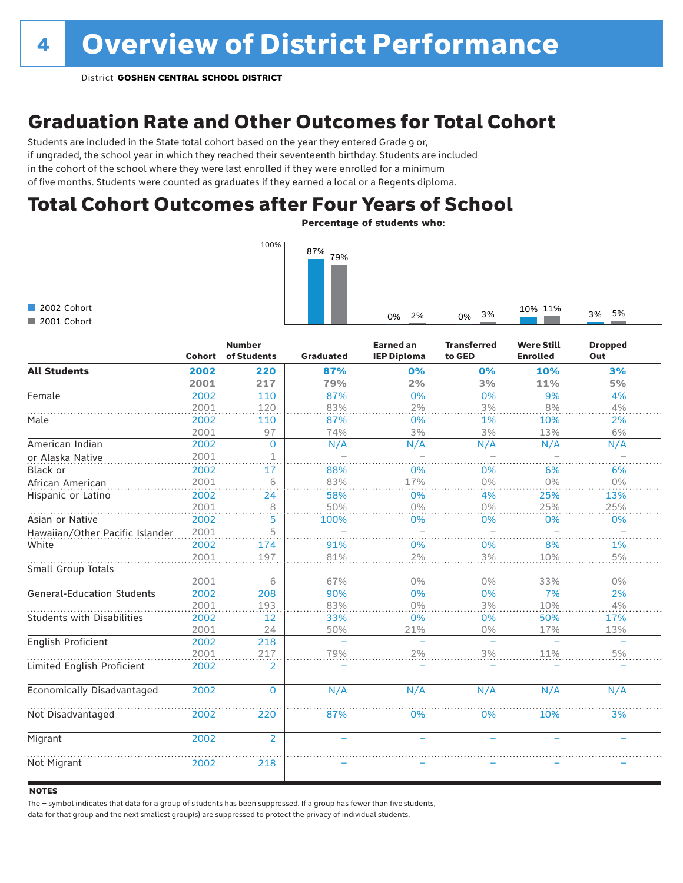### Graduation Rate and Other Outcomes for Total Cohort

Students are included in the State total cohort based on the year they entered Grade 9 or, if ungraded, the school year in which they reached their seventeenth birthday. Students are included in the cohort of the school where they were last enrolled if they were enrolled for a minimum of five months. Students were counted as graduates if they earned a local or a Regents diploma.

### Total Cohort Outcomes after Four Years of School

Percentage of students who:

0% 2% 0% 3% 10% 11% 3% 5%



2002 Cohort 2001 Cohort

|                                   | <b>Cohort</b> | <b>Number</b><br>of Students | <b>Graduated</b>         | <b>Earned an</b><br><b>IEP Diploma</b> | <b>Transferred</b><br>to GED | <b>Were Still</b><br><b>Enrolled</b> | <b>Dropped</b><br>Out |
|-----------------------------------|---------------|------------------------------|--------------------------|----------------------------------------|------------------------------|--------------------------------------|-----------------------|
| <b>All Students</b>               | 2002          | 220                          | 87%                      | 0%                                     | 0%                           | 10%                                  | 3%                    |
|                                   | 2001          | 217                          | 79%                      | 2%                                     | 3%                           | 11%                                  | 5%                    |
| Female                            | 2002          | 110                          | 87%                      | 0%                                     | 0%                           | 9%                                   | 4%                    |
|                                   | 2001          | 120                          | 83%                      | 2%                                     | 3%                           | 8%                                   | 4%                    |
| Male                              | 2002          | 110                          | 87%                      | 0%                                     | 1%                           | 10%                                  | 2%                    |
|                                   | 2001          | 97                           | 74%                      | 3%                                     | 3%                           | 13%                                  | 6%                    |
| American Indian                   | 2002          | $\Omega$                     | N/A                      | N/A                                    | N/A                          | N/A                                  | N/A                   |
| or Alaska Native                  | 2001          | 1                            |                          |                                        |                              |                                      |                       |
| Black or                          | 2002          | 17                           | 88%                      | 0%                                     | 0%                           | 6%                                   | 6%                    |
| African American                  | 2001          | 6                            | 83%                      | 17%                                    | $0\%$                        | 0%                                   | 0%                    |
| Hispanic or Latino                | 2002          | 24                           | 58%                      | 0%                                     | 4%                           | 25%                                  | 13%                   |
|                                   | 2001          | 8                            | 50%                      | $0\%$                                  | $0\%$                        | 25%                                  | 25%                   |
| Asian or Native                   | 2002          | 5                            | 100%                     | 0%                                     | 0%                           | 0%                                   | 0%                    |
| Hawaiian/Other Pacific Islander   | 2001          | 5                            | $\equiv$                 |                                        |                              |                                      |                       |
| White                             | 2002          | 174                          | 91%                      | 0%                                     | 0%                           | 8%                                   | 1%                    |
|                                   | 2001          | 197                          | 81%                      | 2%                                     | 3%                           | 10%                                  | $5\%$                 |
| Small Group Totals                |               |                              |                          |                                        |                              |                                      |                       |
|                                   | 2001          | 6                            | 67%                      | $0\%$                                  | $0\%$                        | 33%                                  | 0%                    |
| <b>General-Education Students</b> | 2002          | 208                          | 90%                      | 0%                                     | 0%                           | 7%                                   | 2%                    |
|                                   | 2001          | 193                          | 83%                      | $0\%$                                  | 3%                           | 10%                                  | 4%                    |
| <b>Students with Disabilities</b> | 2002          | 12                           | 33%                      | 0%                                     | 0%                           | 50%                                  | 17%                   |
|                                   | 2001          | 24                           | 50%                      | 21%                                    | 0%                           | 17%                                  | 13%                   |
| English Proficient                | 2002          | 218                          | $\overline{\phantom{0}}$ | $\overline{\phantom{0}}$               | $\equiv$                     | $\overline{\phantom{a}}$             | $\equiv$              |
|                                   | 2001          | 217                          | 79%                      | 2%                                     | 3%                           | 11%                                  | 5%                    |
| Limited English Proficient        | 2002          | 2                            |                          |                                        |                              |                                      |                       |
| Economically Disadvantaged        | 2002          | $\mathbf 0$                  | N/A                      | N/A                                    | N/A                          | N/A                                  | N/A                   |
| Not Disadvantaged                 | 2002          | 220                          | 87%                      | 0%                                     | 0%                           | 10%                                  | 3%                    |
| Migrant                           | 2002          | $\overline{2}$               | ÷,                       | ÷,                                     |                              | $\equiv$                             |                       |
| Not Migrant                       | 2002          | 218                          |                          |                                        |                              |                                      |                       |

#### **NOTES**

The – symbol indicates that data for a group of s tudents has been suppressed. If a group has fewer than five students,

data for that group and the next smallest group(s) are suppressed to protect the privacy of individual students.